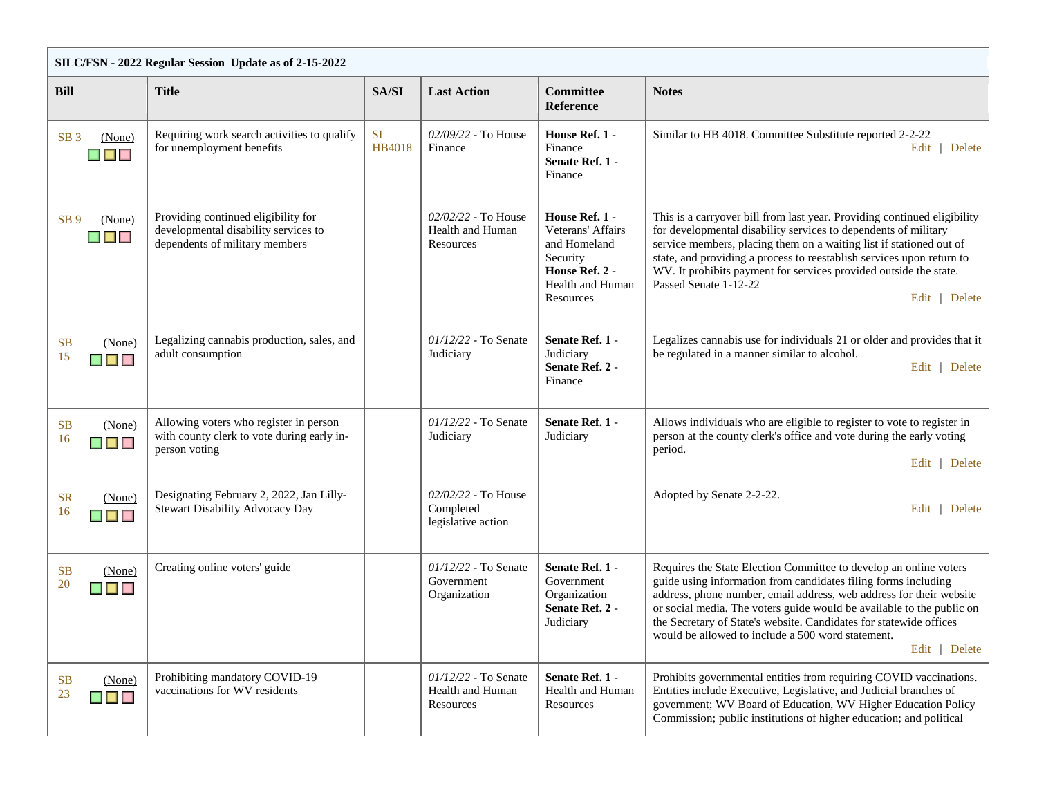| SILC/FSN - 2022 Regular Session Update as of 2-15-2022                    |                                                                                                               |                     |                                                        |                                                                                                                    |                                                                                                                                                                                                                                                                                                                                                                                                                                 |  |  |  |
|---------------------------------------------------------------------------|---------------------------------------------------------------------------------------------------------------|---------------------|--------------------------------------------------------|--------------------------------------------------------------------------------------------------------------------|---------------------------------------------------------------------------------------------------------------------------------------------------------------------------------------------------------------------------------------------------------------------------------------------------------------------------------------------------------------------------------------------------------------------------------|--|--|--|
| <b>Bill</b>                                                               | <b>Title</b>                                                                                                  | SA/SI               | <b>Last Action</b>                                     | <b>Committee</b><br><b>Reference</b>                                                                               | <b>Notes</b>                                                                                                                                                                                                                                                                                                                                                                                                                    |  |  |  |
| SB <sub>3</sub><br>(None)<br>$\blacksquare$ $\blacksquare$                | Requiring work search activities to qualify<br>for unemployment benefits                                      | <b>SI</b><br>HB4018 | 02/09/22 - To House<br>Finance                         | House Ref. 1 -<br>Finance<br>Senate Ref. 1 -<br>Finance                                                            | Similar to HB 4018. Committee Substitute reported 2-2-22<br>Delete<br>Edit                                                                                                                                                                                                                                                                                                                                                      |  |  |  |
| SB <sub>9</sub><br>(None)<br>$\blacksquare$                               | Providing continued eligibility for<br>developmental disability services to<br>dependents of military members |                     | 02/02/22 - To House<br>Health and Human<br>Resources   | House Ref. 1 -<br>Veterans' Affairs<br>and Homeland<br>Security<br>House Ref. 2 -<br>Health and Human<br>Resources | This is a carryover bill from last year. Providing continued eligibility<br>for developmental disability services to dependents of military<br>service members, placing them on a waiting list if stationed out of<br>state, and providing a process to reestablish services upon return to<br>WV. It prohibits payment for services provided outside the state.<br>Passed Senate 1-12-22<br>Edit   Delete                      |  |  |  |
| <b>SB</b><br>(None)<br>15<br>$\blacksquare$                               | Legalizing cannabis production, sales, and<br>adult consumption                                               |                     | $01/12/22$ - To Senate<br>Judiciary                    | Senate Ref. 1 -<br>Judiciary<br>Senate Ref. 2 -<br>Finance                                                         | Legalizes cannabis use for individuals 21 or older and provides that it<br>be regulated in a manner similar to alcohol.<br>Edit   Delete                                                                                                                                                                                                                                                                                        |  |  |  |
| <b>SB</b><br>(None)<br>16<br>$\blacksquare$ $\blacksquare$ $\blacksquare$ | Allowing voters who register in person<br>with county clerk to vote during early in-<br>person voting         |                     | $01/12/22$ - To Senate<br>Judiciary                    | Senate Ref. 1 -<br>Judiciary                                                                                       | Allows individuals who are eligible to register to vote to register in<br>person at the county clerk's office and vote during the early voting<br>period.<br>Edit   Delete                                                                                                                                                                                                                                                      |  |  |  |
| <b>SR</b><br>(None)<br>16<br>$\blacksquare$ $\blacksquare$ $\blacksquare$ | Designating February 2, 2022, Jan Lilly-<br>Stewart Disability Advocacy Day                                   |                     | 02/02/22 - To House<br>Completed<br>legislative action |                                                                                                                    | Adopted by Senate 2-2-22.<br>Edit   Delete                                                                                                                                                                                                                                                                                                                                                                                      |  |  |  |
| <b>SB</b><br>(None)<br>20<br>$\blacksquare$ $\blacksquare$ $\blacksquare$ | Creating online voters' guide                                                                                 |                     | $01/12/22$ - To Senate<br>Government<br>Organization   | Senate Ref. 1 -<br>Government<br>Organization<br>Senate Ref. 2 -<br>Judiciary                                      | Requires the State Election Committee to develop an online voters<br>guide using information from candidates filing forms including<br>address, phone number, email address, web address for their website<br>or social media. The voters guide would be available to the public on<br>the Secretary of State's website. Candidates for statewide offices<br>would be allowed to include a 500 word statement.<br>Edit   Delete |  |  |  |
| <b>SB</b><br>(None)<br>23<br>$\blacksquare$                               | Prohibiting mandatory COVID-19<br>vaccinations for WV residents                                               |                     | 01/12/22 - To Senate<br>Health and Human<br>Resources  | Senate Ref. 1 -<br>Health and Human<br>Resources                                                                   | Prohibits governmental entities from requiring COVID vaccinations.<br>Entities include Executive, Legislative, and Judicial branches of<br>government; WV Board of Education, WV Higher Education Policy<br>Commission; public institutions of higher education; and political                                                                                                                                                  |  |  |  |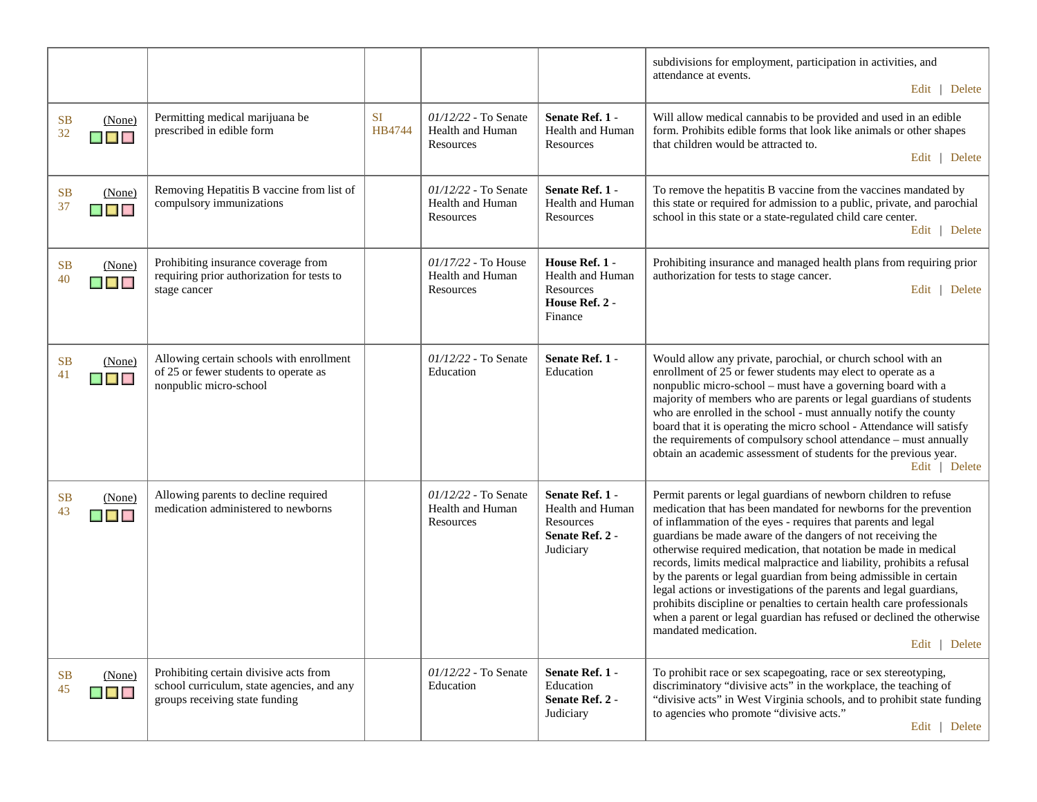|                                             |                                                                                                                        |              |                                                       |                                                                                  | subdivisions for employment, participation in activities, and<br>attendance at events.<br>Edit   Delete                                                                                                                                                                                                                                                                                                                                                                                                                                                                                                                                                                                                                                                   |
|---------------------------------------------|------------------------------------------------------------------------------------------------------------------------|--------------|-------------------------------------------------------|----------------------------------------------------------------------------------|-----------------------------------------------------------------------------------------------------------------------------------------------------------------------------------------------------------------------------------------------------------------------------------------------------------------------------------------------------------------------------------------------------------------------------------------------------------------------------------------------------------------------------------------------------------------------------------------------------------------------------------------------------------------------------------------------------------------------------------------------------------|
| SB<br>(None)<br>32<br>$\blacksquare$        | Permitting medical marijuana be<br>prescribed in edible form                                                           | SI<br>HB4744 | 01/12/22 - To Senate<br>Health and Human<br>Resources | Senate Ref. 1 -<br>Health and Human<br>Resources                                 | Will allow medical cannabis to be provided and used in an edible<br>form. Prohibits edible forms that look like animals or other shapes<br>that children would be attracted to.<br>Edit   Delete                                                                                                                                                                                                                                                                                                                                                                                                                                                                                                                                                          |
| <b>SB</b><br>(None)<br>37<br>$\blacksquare$ | Removing Hepatitis B vaccine from list of<br>compulsory immunizations                                                  |              | 01/12/22 - To Senate<br>Health and Human<br>Resources | Senate Ref. 1 -<br>Health and Human<br>Resources                                 | To remove the hepatitis B vaccine from the vaccines mandated by<br>this state or required for admission to a public, private, and parochial<br>school in this state or a state-regulated child care center.<br>Edit   Delete                                                                                                                                                                                                                                                                                                                                                                                                                                                                                                                              |
| <b>SB</b><br>(None)<br>40<br>$\blacksquare$ | Prohibiting insurance coverage from<br>requiring prior authorization for tests to<br>stage cancer                      |              | 01/17/22 - To House<br>Health and Human<br>Resources  | House Ref. 1 -<br>Health and Human<br>Resources<br>House Ref. 2 -<br>Finance     | Prohibiting insurance and managed health plans from requiring prior<br>authorization for tests to stage cancer.<br>Edit   Delete                                                                                                                                                                                                                                                                                                                                                                                                                                                                                                                                                                                                                          |
| <b>SB</b><br>(None)<br>41<br>$\blacksquare$ | Allowing certain schools with enrollment<br>of 25 or fewer students to operate as<br>nonpublic micro-school            |              | 01/12/22 - To Senate<br>Education                     | Senate Ref. 1 -<br>Education                                                     | Would allow any private, parochial, or church school with an<br>enrollment of 25 or fewer students may elect to operate as a<br>nonpublic micro-school - must have a governing board with a<br>majority of members who are parents or legal guardians of students<br>who are enrolled in the school - must annually notify the county<br>board that it is operating the micro school - Attendance will satisfy<br>the requirements of compulsory school attendance - must annually<br>obtain an academic assessment of students for the previous year.<br>Edit   Delete                                                                                                                                                                                   |
| <b>SB</b><br>(None)<br>43<br>$\blacksquare$ | Allowing parents to decline required<br>medication administered to newborns                                            |              | 01/12/22 - To Senate<br>Health and Human<br>Resources | Senate Ref. 1 -<br>Health and Human<br>Resources<br>Senate Ref. 2 -<br>Judiciary | Permit parents or legal guardians of newborn children to refuse<br>medication that has been mandated for newborns for the prevention<br>of inflammation of the eyes - requires that parents and legal<br>guardians be made aware of the dangers of not receiving the<br>otherwise required medication, that notation be made in medical<br>records, limits medical malpractice and liability, prohibits a refusal<br>by the parents or legal guardian from being admissible in certain<br>legal actions or investigations of the parents and legal guardians,<br>prohibits discipline or penalties to certain health care professionals<br>when a parent or legal guardian has refused or declined the otherwise<br>mandated medication.<br>Edit   Delete |
| <b>SB</b><br>(None)<br>45<br>$\blacksquare$ | Prohibiting certain divisive acts from<br>school curriculum, state agencies, and any<br>groups receiving state funding |              | 01/12/22 - To Senate<br>Education                     | Senate Ref. 1 -<br>Education<br>Senate Ref. 2 -<br>Judiciary                     | To prohibit race or sex scapegoating, race or sex stereotyping,<br>discriminatory "divisive acts" in the workplace, the teaching of<br>"divisive acts" in West Virginia schools, and to prohibit state funding<br>to agencies who promote "divisive acts."<br>Edit   Delete                                                                                                                                                                                                                                                                                                                                                                                                                                                                               |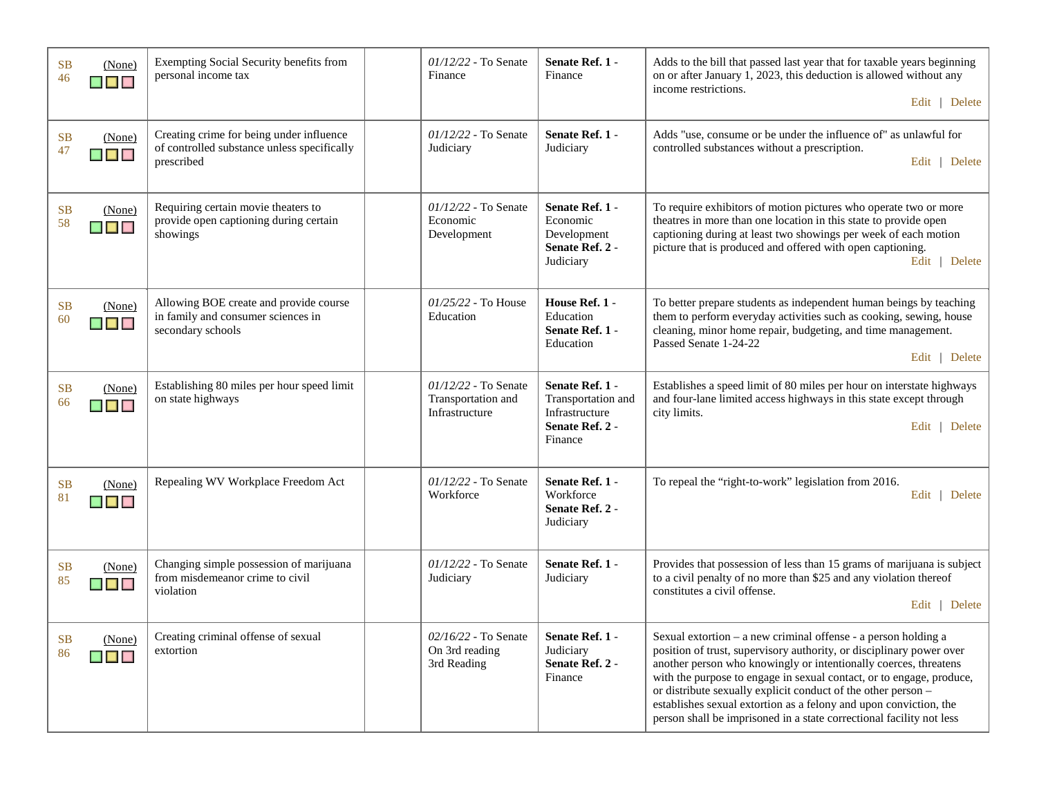| (None)<br><b>SB</b><br>46<br>$\blacksquare$                | Exempting Social Security benefits from<br>personal income tax                                        | $01/12/22$ - To Senate<br>Finance                            | Senate Ref. 1 -<br>Finance                                                            | Adds to the bill that passed last year that for taxable years beginning<br>on or after January 1, 2023, this deduction is allowed without any<br>income restrictions.<br>Edit   Delete                                                                                                                                                                                                                                                                                                               |
|------------------------------------------------------------|-------------------------------------------------------------------------------------------------------|--------------------------------------------------------------|---------------------------------------------------------------------------------------|------------------------------------------------------------------------------------------------------------------------------------------------------------------------------------------------------------------------------------------------------------------------------------------------------------------------------------------------------------------------------------------------------------------------------------------------------------------------------------------------------|
| <b>SB</b><br>(None)<br>47<br>$\blacksquare$                | Creating crime for being under influence<br>of controlled substance unless specifically<br>prescribed | 01/12/22 - To Senate<br>Judiciary                            | Senate Ref. 1 -<br>Judiciary                                                          | Adds "use, consume or be under the influence of" as unlawful for<br>controlled substances without a prescription.<br>Edit   Delete                                                                                                                                                                                                                                                                                                                                                                   |
| <b>SB</b><br>(None)<br>58<br>$\blacksquare$ $\blacksquare$ | Requiring certain movie theaters to<br>provide open captioning during certain<br>showings             | $01/12/22$ - To Senate<br>Economic<br>Development            | Senate Ref. 1 -<br>Economic<br>Development<br>Senate Ref. 2 -<br>Judiciary            | To require exhibitors of motion pictures who operate two or more<br>theatres in more than one location in this state to provide open<br>captioning during at least two showings per week of each motion<br>picture that is produced and offered with open captioning.<br>Edit   Delete                                                                                                                                                                                                               |
| <b>SB</b><br>(None)<br>60<br>$\blacksquare$                | Allowing BOE create and provide course<br>in family and consumer sciences in<br>secondary schools     | $01/25/22$ - To House<br>Education                           | House Ref. 1 -<br>Education<br>Senate Ref. 1 -<br>Education                           | To better prepare students as independent human beings by teaching<br>them to perform everyday activities such as cooking, sewing, house<br>cleaning, minor home repair, budgeting, and time management.<br>Passed Senate 1-24-22<br>Edit   Delete                                                                                                                                                                                                                                                   |
| <b>SB</b><br>(None)<br>66<br>$\blacksquare$                | Establishing 80 miles per hour speed limit<br>on state highways                                       | 01/12/22 - To Senate<br>Transportation and<br>Infrastructure | Senate Ref. 1 -<br>Transportation and<br>Infrastructure<br>Senate Ref. 2 -<br>Finance | Establishes a speed limit of 80 miles per hour on interstate highways<br>and four-lane limited access highways in this state except through<br>city limits.<br>Edit   Delete                                                                                                                                                                                                                                                                                                                         |
| <b>SB</b><br>(None)<br>81<br>$\blacksquare$ $\blacksquare$ | Repealing WV Workplace Freedom Act                                                                    | 01/12/22 - To Senate<br>Workforce                            | Senate Ref. 1 -<br>Workforce<br>Senate Ref. 2 -<br>Judiciary                          | To repeal the "right-to-work" legislation from 2016.<br>Edit   Delete                                                                                                                                                                                                                                                                                                                                                                                                                                |
| <b>SB</b><br>(None)<br>85<br>$\blacksquare$                | Changing simple possession of marijuana<br>from misdemeanor crime to civil<br>violation               | $01/12/22$ - To Senate<br>Judiciary                          | Senate Ref. 1 -<br>Judiciary                                                          | Provides that possession of less than 15 grams of marijuana is subject<br>to a civil penalty of no more than \$25 and any violation thereof<br>constitutes a civil offense.<br>Edit   Delete                                                                                                                                                                                                                                                                                                         |
| <b>SB</b><br>(None)<br>86<br>▉▉▉                           | Creating criminal offense of sexual<br>extortion                                                      | $02/16/22$ - To Senate<br>On 3rd reading<br>3rd Reading      | Senate Ref. 1 -<br>Judiciary<br>Senate Ref. 2 -<br>Finance                            | Sexual extortion $-$ a new criminal offense $-$ a person holding a<br>position of trust, supervisory authority, or disciplinary power over<br>another person who knowingly or intentionally coerces, threatens<br>with the purpose to engage in sexual contact, or to engage, produce,<br>or distribute sexually explicit conduct of the other person -<br>establishes sexual extortion as a felony and upon conviction, the<br>person shall be imprisoned in a state correctional facility not less |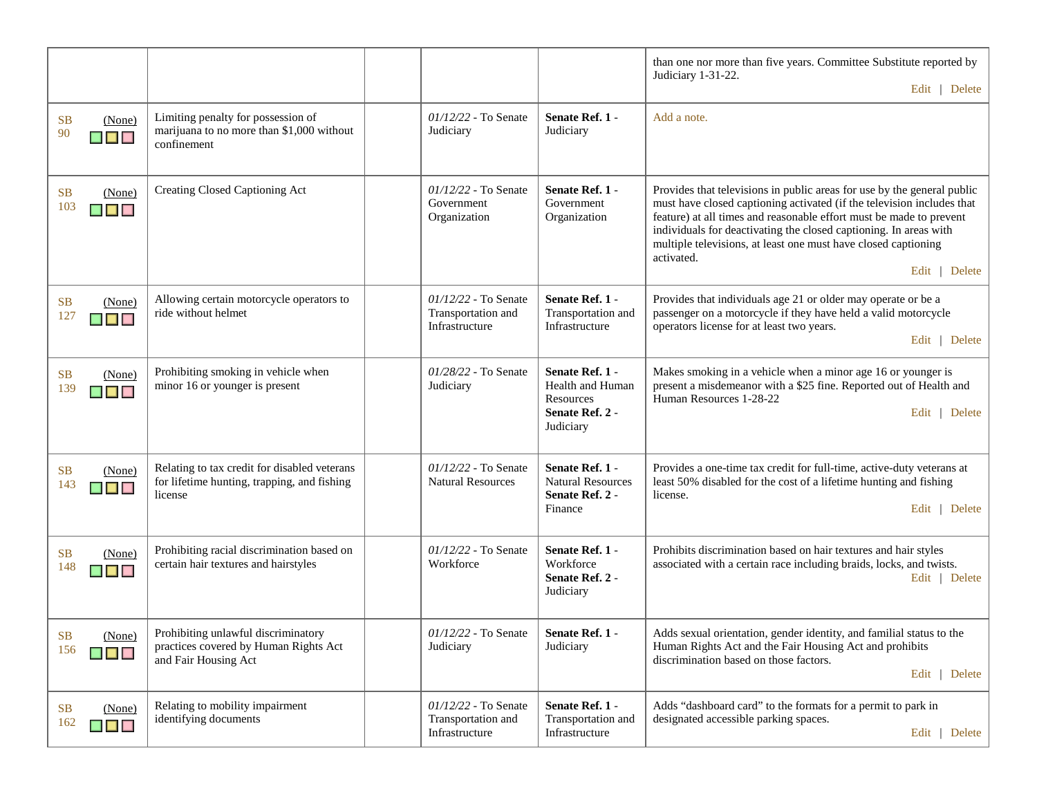|                                                                            |                                                                                                        |                                                              |                                                                                  | than one nor more than five years. Committee Substitute reported by<br>Judiciary 1-31-22.<br>Edit   Delete                                                                                                                                                                                                                                                                                     |
|----------------------------------------------------------------------------|--------------------------------------------------------------------------------------------------------|--------------------------------------------------------------|----------------------------------------------------------------------------------|------------------------------------------------------------------------------------------------------------------------------------------------------------------------------------------------------------------------------------------------------------------------------------------------------------------------------------------------------------------------------------------------|
| SB<br>(None)<br>90<br>$\blacksquare$                                       | Limiting penalty for possession of<br>marijuana to no more than \$1,000 without<br>confinement         | 01/12/22 - To Senate<br>Judiciary                            | Senate Ref. 1 -<br>Judiciary                                                     | Add a note.                                                                                                                                                                                                                                                                                                                                                                                    |
| SB<br>(None)<br>103<br>$\blacksquare$                                      | Creating Closed Captioning Act                                                                         | $01/12/22$ - To Senate<br>Government<br>Organization         | Senate Ref. 1 -<br>Government<br>Organization                                    | Provides that televisions in public areas for use by the general public<br>must have closed captioning activated (if the television includes that<br>feature) at all times and reasonable effort must be made to prevent<br>individuals for deactivating the closed captioning. In areas with<br>multiple televisions, at least one must have closed captioning<br>activated.<br>Edit   Delete |
| <b>SB</b><br>(None)<br>127<br>$\blacksquare$ $\blacksquare$ $\blacksquare$ | Allowing certain motorcycle operators to<br>ride without helmet                                        | 01/12/22 - To Senate<br>Transportation and<br>Infrastructure | Senate Ref. 1 -<br>Transportation and<br>Infrastructure                          | Provides that individuals age 21 or older may operate or be a<br>passenger on a motorcycle if they have held a valid motorcycle<br>operators license for at least two years.<br>Edit   Delete                                                                                                                                                                                                  |
| SB<br>(None)<br>139<br>$\blacksquare$ $\blacksquare$                       | Prohibiting smoking in vehicle when<br>minor 16 or younger is present                                  | 01/28/22 - To Senate<br>Judiciary                            | Senate Ref. 1 -<br>Health and Human<br>Resources<br>Senate Ref. 2 -<br>Judiciary | Makes smoking in a vehicle when a minor age 16 or younger is<br>present a misdemeanor with a \$25 fine. Reported out of Health and<br>Human Resources 1-28-22<br>Edit   Delete                                                                                                                                                                                                                 |
| <b>SB</b><br>(None)<br>143<br>$\blacksquare$ $\blacksquare$                | Relating to tax credit for disabled veterans<br>for lifetime hunting, trapping, and fishing<br>license | $01/12/22$ - To Senate<br><b>Natural Resources</b>           | Senate Ref. 1 -<br><b>Natural Resources</b><br>Senate Ref. 2 -<br>Finance        | Provides a one-time tax credit for full-time, active-duty veterans at<br>least 50% disabled for the cost of a lifetime hunting and fishing<br>license.<br>Edit   Delete                                                                                                                                                                                                                        |
| <b>SB</b><br>(None)<br>148<br><b>THE REAL</b>                              | Prohibiting racial discrimination based on<br>certain hair textures and hairstyles                     | 01/12/22 - To Senate<br>Workforce                            | Senate Ref. 1 -<br>Workforce<br>Senate Ref. 2 -<br>Judiciary                     | Prohibits discrimination based on hair textures and hair styles<br>associated with a certain race including braids, locks, and twists.<br>Edit   Delete                                                                                                                                                                                                                                        |
| SB (None)<br>156<br>$\blacksquare$                                         | Prohibiting unlawful discriminatory<br>practices covered by Human Rights Act<br>and Fair Housing Act   | $01/12/22$ - To Senate $\vert$<br>Judiciary                  | Senate Ref. 1 -<br>Judiciary                                                     | Adds sexual orientation, gender identity, and familial status to the<br>Human Rights Act and the Fair Housing Act and prohibits<br>discrimination based on those factors.<br>Delete<br>Edit $\vert$                                                                                                                                                                                            |
| <b>SB</b><br>(None)<br>162<br>$\blacksquare$ $\blacksquare$                | Relating to mobility impairment<br>identifying documents                                               | 01/12/22 - To Senate<br>Transportation and<br>Infrastructure | Senate Ref. 1 -<br>Transportation and<br>Infrastructure                          | Adds "dashboard card" to the formats for a permit to park in<br>designated accessible parking spaces.<br>Edit   Delete                                                                                                                                                                                                                                                                         |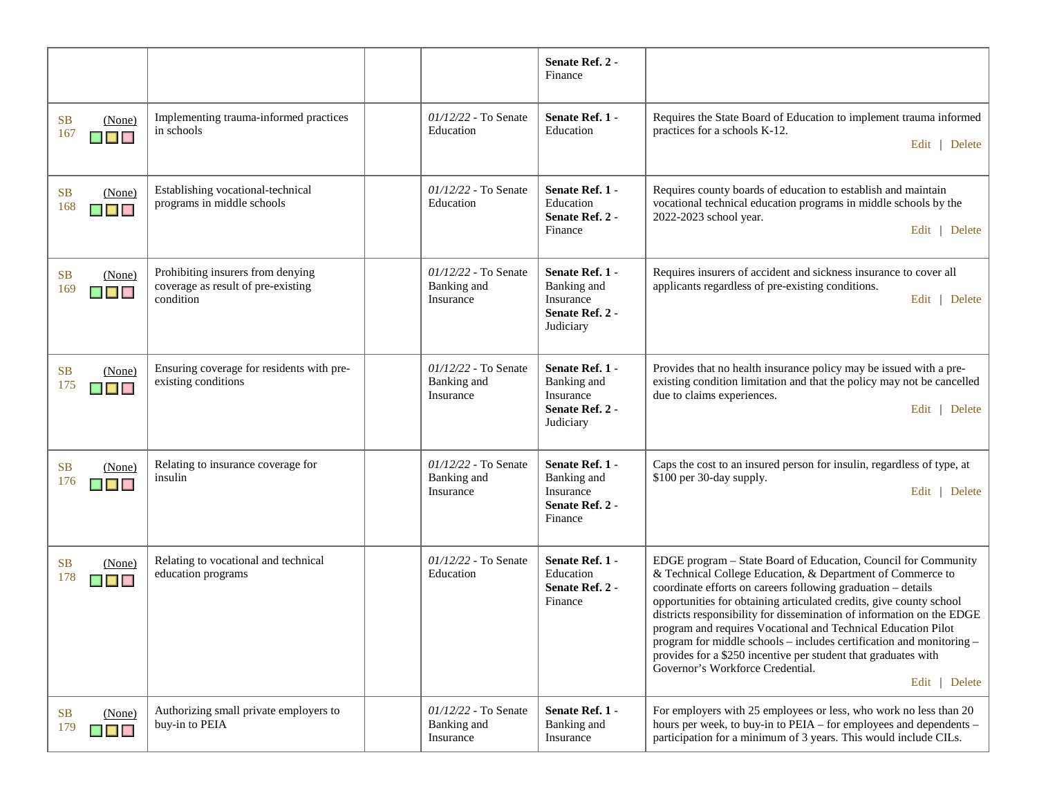|                                                             |                                                                                      |                                                    | Senate Ref. 2 -<br>Finance                                                  |                                                                                                                                                                                                                                                                                                                                                                                                                                                                                                                                                                                                              |
|-------------------------------------------------------------|--------------------------------------------------------------------------------------|----------------------------------------------------|-----------------------------------------------------------------------------|--------------------------------------------------------------------------------------------------------------------------------------------------------------------------------------------------------------------------------------------------------------------------------------------------------------------------------------------------------------------------------------------------------------------------------------------------------------------------------------------------------------------------------------------------------------------------------------------------------------|
| <b>SB</b><br>(None)<br>167<br>▉▉▉                           | Implementing trauma-informed practices<br>in schools                                 | $01/12/22$ - To Senate<br>Education                | Senate Ref. 1 -<br>Education                                                | Requires the State Board of Education to implement trauma informed<br>practices for a schools K-12.<br>Edit   Delete                                                                                                                                                                                                                                                                                                                                                                                                                                                                                         |
| SB<br>(None)<br>168<br>▉▉                                   | Establishing vocational-technical<br>programs in middle schools                      | 01/12/22 - To Senate<br>Education                  | Senate Ref. 1 -<br>Education<br>Senate Ref. 2 -<br>Finance                  | Requires county boards of education to establish and maintain<br>vocational technical education programs in middle schools by the<br>2022-2023 school year.<br>Edit   Delete                                                                                                                                                                                                                                                                                                                                                                                                                                 |
| <b>SB</b><br>(None)<br>169<br>▉▊▊                           | Prohibiting insurers from denying<br>coverage as result of pre-existing<br>condition | 01/12/22 - To Senate<br>Banking and<br>Insurance   | Senate Ref. 1 -<br>Banking and<br>Insurance<br>Senate Ref. 2 -<br>Judiciary | Requires insurers of accident and sickness insurance to cover all<br>applicants regardless of pre-existing conditions.<br>Edit   Delete                                                                                                                                                                                                                                                                                                                                                                                                                                                                      |
| <b>SB</b><br>(None)<br>175<br>▉▉▉                           | Ensuring coverage for residents with pre-<br>existing conditions                     | $01/12/22$ - To Senate<br>Banking and<br>Insurance | Senate Ref. 1 -<br>Banking and<br>Insurance<br>Senate Ref. 2 -<br>Judiciary | Provides that no health insurance policy may be issued with a pre-<br>existing condition limitation and that the policy may not be cancelled<br>due to claims experiences.<br>Edit   Delete                                                                                                                                                                                                                                                                                                                                                                                                                  |
| <b>SB</b><br>(None)<br>176<br>$\blacksquare$                | Relating to insurance coverage for<br>insulin                                        | 01/12/22 - To Senate<br>Banking and<br>Insurance   | Senate Ref. 1 -<br>Banking and<br>Insurance<br>Senate Ref. 2 -<br>Finance   | Caps the cost to an insured person for insulin, regardless of type, at<br>\$100 per 30-day supply.<br>Edit   Delete                                                                                                                                                                                                                                                                                                                                                                                                                                                                                          |
| <b>SB</b><br>(None)<br>178<br>$\blacksquare$ $\blacksquare$ | Relating to vocational and technical<br>education programs                           | 01/12/22 - To Senate<br>Education                  | Senate Ref. 1 -<br>Education<br>Senate Ref. 2 -<br>Finance                  | EDGE program - State Board of Education, Council for Community<br>& Technical College Education, & Department of Commerce to<br>coordinate efforts on careers following graduation - details<br>opportunities for obtaining articulated credits, give county school<br>districts responsibility for dissemination of information on the EDGE<br>program and requires Vocational and Technical Education Pilot<br>program for middle schools – includes certification and monitoring –<br>provides for a \$250 incentive per student that graduates with<br>Governor's Workforce Credential.<br>Edit   Delete |
| <b>SB</b><br>(None)<br>179<br>$\blacksquare$                | Authorizing small private employers to<br>buy-in to PEIA                             | $01/12/22$ - To Senate<br>Banking and<br>Insurance | Senate Ref. 1 -<br>Banking and<br>Insurance                                 | For employers with 25 employees or less, who work no less than 20<br>hours per week, to buy-in to PEIA – for employees and dependents –<br>participation for a minimum of 3 years. This would include CILs.                                                                                                                                                                                                                                                                                                                                                                                                  |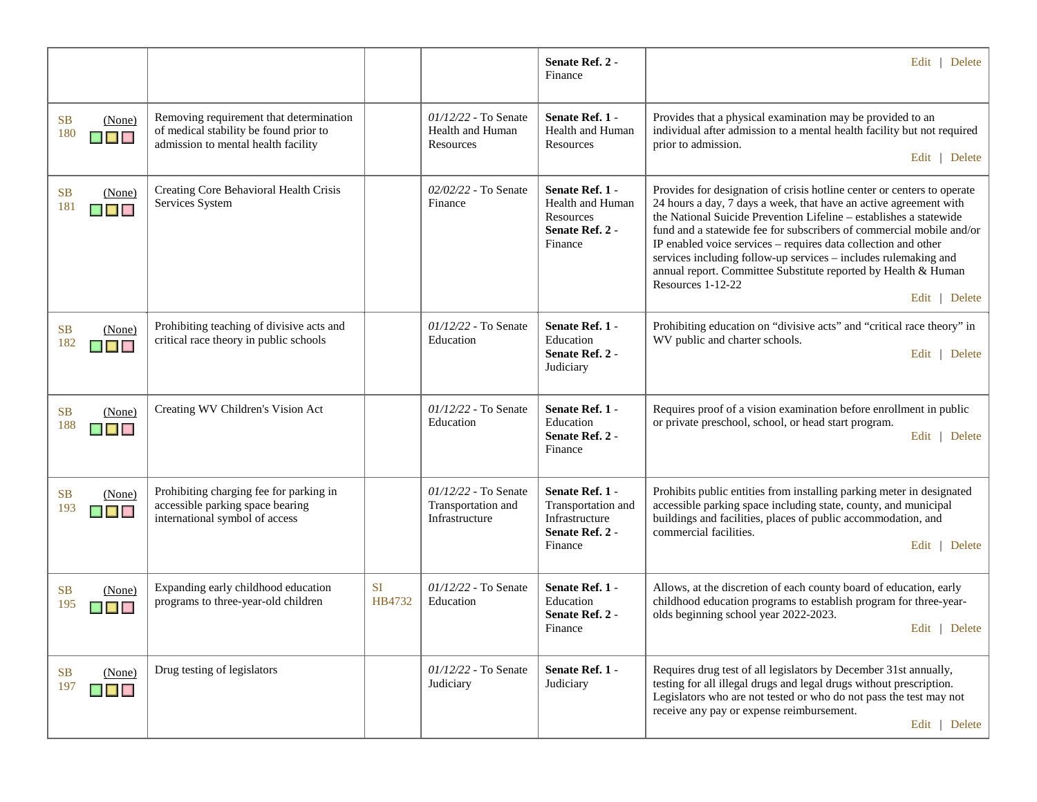|                                                                            |                                                                                                                          |              |                                                                | Senate Ref. 2 -<br>Finance                                                            | Edit   Delete                                                                                                                                                                                                                                                                                                                                                                                                                                                                                                                           |
|----------------------------------------------------------------------------|--------------------------------------------------------------------------------------------------------------------------|--------------|----------------------------------------------------------------|---------------------------------------------------------------------------------------|-----------------------------------------------------------------------------------------------------------------------------------------------------------------------------------------------------------------------------------------------------------------------------------------------------------------------------------------------------------------------------------------------------------------------------------------------------------------------------------------------------------------------------------------|
| <b>SB</b><br>(None)<br>180<br>▉▊▊                                          | Removing requirement that determination<br>of medical stability be found prior to<br>admission to mental health facility |              | $01/12/22$ - To Senate<br><b>Health and Human</b><br>Resources | Senate Ref. 1 -<br><b>Health and Human</b><br>Resources                               | Provides that a physical examination may be provided to an<br>individual after admission to a mental health facility but not required<br>prior to admission.<br>Edit   Delete                                                                                                                                                                                                                                                                                                                                                           |
| SB<br>(None)<br>181<br>▆▆▆                                                 | Creating Core Behavioral Health Crisis<br>Services System                                                                |              | $02/02/22$ - To Senate<br>Finance                              | Senate Ref. 1 -<br>Health and Human<br>Resources<br>Senate Ref. 2 -<br>Finance        | Provides for designation of crisis hotline center or centers to operate<br>24 hours a day, 7 days a week, that have an active agreement with<br>the National Suicide Prevention Lifeline - establishes a statewide<br>fund and a statewide fee for subscribers of commercial mobile and/or<br>IP enabled voice services - requires data collection and other<br>services including follow-up services - includes rulemaking and<br>annual report. Committee Substitute reported by Health & Human<br>Resources 1-12-22<br>Edit   Delete |
| SB<br>(None)<br>182<br>▉▉▉                                                 | Prohibiting teaching of divisive acts and<br>critical race theory in public schools                                      |              | $01/12/22$ - To Senate<br>Education                            | Senate Ref. 1 -<br>Education<br>Senate Ref. 2 -<br>Judiciary                          | Prohibiting education on "divisive acts" and "critical race theory" in<br>WV public and charter schools.<br>Edit   Delete                                                                                                                                                                                                                                                                                                                                                                                                               |
| <b>SB</b><br>(None)<br>188<br>▄▗▄▗                                         | Creating WV Children's Vision Act                                                                                        |              | $01/12/22$ - To Senate<br>Education                            | Senate Ref. 1 -<br>Education<br>Senate Ref. 2 -<br>Finance                            | Requires proof of a vision examination before enrollment in public<br>or private preschool, school, or head start program.<br>Edit   Delete                                                                                                                                                                                                                                                                                                                                                                                             |
| <b>SB</b><br>(None)<br>193<br>$\blacksquare$ $\blacksquare$ $\blacksquare$ | Prohibiting charging fee for parking in<br>accessible parking space bearing<br>international symbol of access            |              | $01/12/22$ - To Senate<br>Transportation and<br>Infrastructure | Senate Ref. 1 -<br>Transportation and<br>Infrastructure<br>Senate Ref. 2 -<br>Finance | Prohibits public entities from installing parking meter in designated<br>accessible parking space including state, county, and municipal<br>buildings and facilities, places of public accommodation, and<br>commercial facilities.<br>Edit   Delete                                                                                                                                                                                                                                                                                    |
| <b>SB</b><br>(None)<br>195<br>$\blacksquare$ $\blacksquare$ $\blacksquare$ | Expanding early childhood education<br>programs to three-year-old children                                               | SI<br>HB4732 | $01/12/22$ - To Senate<br>Education                            | Senate Ref. 1 -<br>Education<br>Senate Ref. 2 -<br>Finance                            | Allows, at the discretion of each county board of education, early<br>childhood education programs to establish program for three-year-<br>olds beginning school year 2022-2023.<br>Edit   Delete                                                                                                                                                                                                                                                                                                                                       |
| SB<br>(None)<br>197<br>$\blacksquare$ $\blacksquare$ $\blacksquare$        | Drug testing of legislators                                                                                              |              | $01/12/22$ - To Senate<br>Judiciary                            | Senate Ref. 1 -<br>Judiciary                                                          | Requires drug test of all legislators by December 31st annually,<br>testing for all illegal drugs and legal drugs without prescription.<br>Legislators who are not tested or who do not pass the test may not<br>receive any pay or expense reimbursement.<br>Edit   Delete                                                                                                                                                                                                                                                             |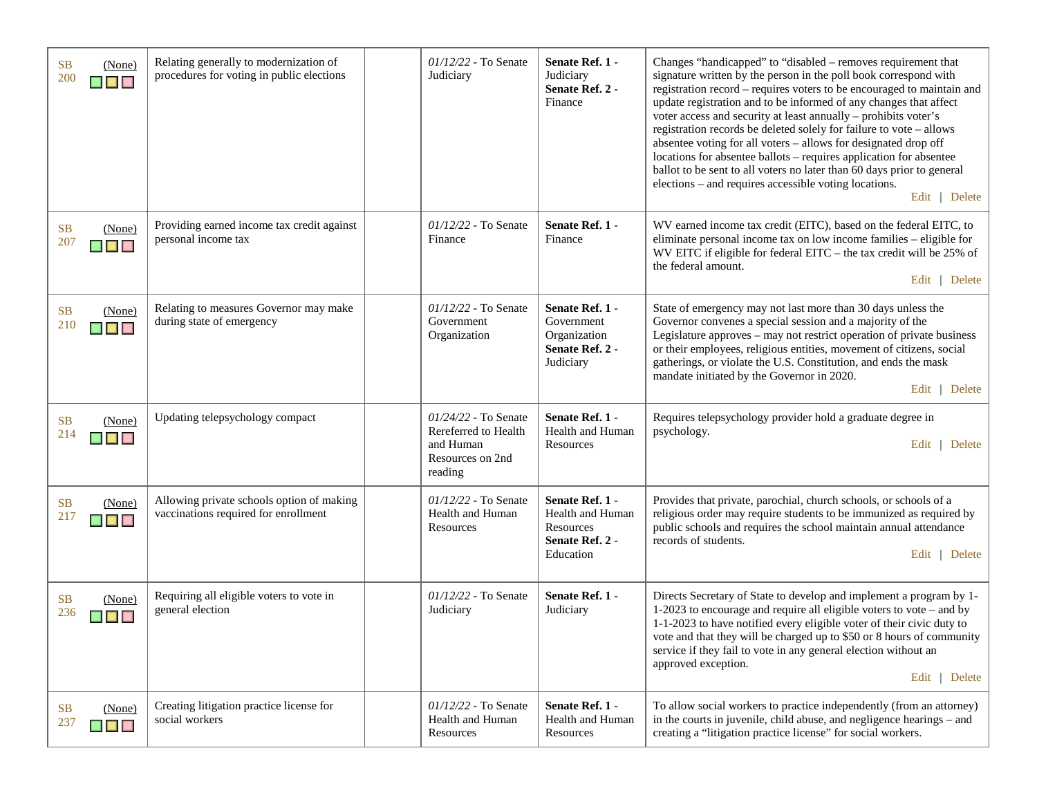| <b>SB</b><br>200 | (None)<br>$\blacksquare$                               | Relating generally to modernization of<br>procedures for voting in public elections | 01/12/22 - To Senate<br>Judiciary                                                        | Senate Ref. 1 -<br>Judiciary<br>Senate Ref. 2 -<br>Finance                       | Changes "handicapped" to "disabled - removes requirement that<br>signature written by the person in the poll book correspond with<br>registration record - requires voters to be encouraged to maintain and<br>update registration and to be informed of any changes that affect<br>voter access and security at least annually - prohibits voter's<br>registration records be deleted solely for failure to vote - allows<br>absentee voting for all voters - allows for designated drop off<br>locations for absentee ballots – requires application for absentee<br>ballot to be sent to all voters no later than 60 days prior to general<br>elections – and requires accessible voting locations.<br>Edit   Delete |
|------------------|--------------------------------------------------------|-------------------------------------------------------------------------------------|------------------------------------------------------------------------------------------|----------------------------------------------------------------------------------|-------------------------------------------------------------------------------------------------------------------------------------------------------------------------------------------------------------------------------------------------------------------------------------------------------------------------------------------------------------------------------------------------------------------------------------------------------------------------------------------------------------------------------------------------------------------------------------------------------------------------------------------------------------------------------------------------------------------------|
| <b>SB</b><br>207 | (None)<br>▉▉▉                                          | Providing earned income tax credit against<br>personal income tax                   | $01/12/22$ - To Senate<br>Finance                                                        | Senate Ref. 1 -<br>Finance                                                       | WV earned income tax credit (EITC), based on the federal EITC, to<br>eliminate personal income tax on low income families - eligible for<br>WV EITC if eligible for federal EITC - the tax credit will be 25% of<br>the federal amount.<br>Edit   Delete                                                                                                                                                                                                                                                                                                                                                                                                                                                                |
| <b>SB</b><br>210 | (None)<br>$\blacksquare$ $\blacksquare$ $\blacksquare$ | Relating to measures Governor may make<br>during state of emergency                 | 01/12/22 - To Senate<br>Government<br>Organization                                       | Senate Ref. 1 -<br>Government<br>Organization<br>Senate Ref. 2 -<br>Judiciary    | State of emergency may not last more than 30 days unless the<br>Governor convenes a special session and a majority of the<br>Legislature approves – may not restrict operation of private business<br>or their employees, religious entities, movement of citizens, social<br>gatherings, or violate the U.S. Constitution, and ends the mask<br>mandate initiated by the Governor in 2020.<br>Edit   Delete                                                                                                                                                                                                                                                                                                            |
| <b>SB</b><br>214 | (None)<br>$\blacksquare$                               | Updating telepsychology compact                                                     | 01/24/22 - To Senate<br>Rereferred to Health<br>and Human<br>Resources on 2nd<br>reading | Senate Ref. 1 -<br><b>Health and Human</b><br>Resources                          | Requires telepsychology provider hold a graduate degree in<br>psychology.<br>Delete<br>Edit                                                                                                                                                                                                                                                                                                                                                                                                                                                                                                                                                                                                                             |
| <b>SB</b><br>217 | (None)<br>$\blacksquare$                               | Allowing private schools option of making<br>vaccinations required for enrollment   | 01/12/22 - To Senate<br>Health and Human<br>Resources                                    | Senate Ref. 1 -<br>Health and Human<br>Resources<br>Senate Ref. 2 -<br>Education | Provides that private, parochial, church schools, or schools of a<br>religious order may require students to be immunized as required by<br>public schools and requires the school maintain annual attendance<br>records of students.<br>  Delete<br>Edit                                                                                                                                                                                                                                                                                                                                                                                                                                                               |
| <b>SB</b><br>236 | (None)<br>m in                                         | Requiring all eligible voters to vote in<br>general election                        | 01/12/22 - To Senate<br>Judiciary                                                        | Senate Ref. 1 -<br>Judiciary                                                     | Directs Secretary of State to develop and implement a program by 1-<br>1-2023 to encourage and require all eligible voters to vote $-$ and by<br>1-1-2023 to have notified every eligible voter of their civic duty to<br>vote and that they will be charged up to \$50 or 8 hours of community<br>service if they fail to vote in any general election without an<br>approved exception.<br>Delete<br>Edit $\vert$                                                                                                                                                                                                                                                                                                     |
| <b>SB</b><br>237 | (None)<br>$\blacksquare$                               | Creating litigation practice license for<br>social workers                          | 01/12/22 - To Senate<br>Health and Human<br>Resources                                    | Senate Ref. 1 -<br>Health and Human<br>Resources                                 | To allow social workers to practice independently (from an attorney)<br>in the courts in juvenile, child abuse, and negligence hearings - and<br>creating a "litigation practice license" for social workers.                                                                                                                                                                                                                                                                                                                                                                                                                                                                                                           |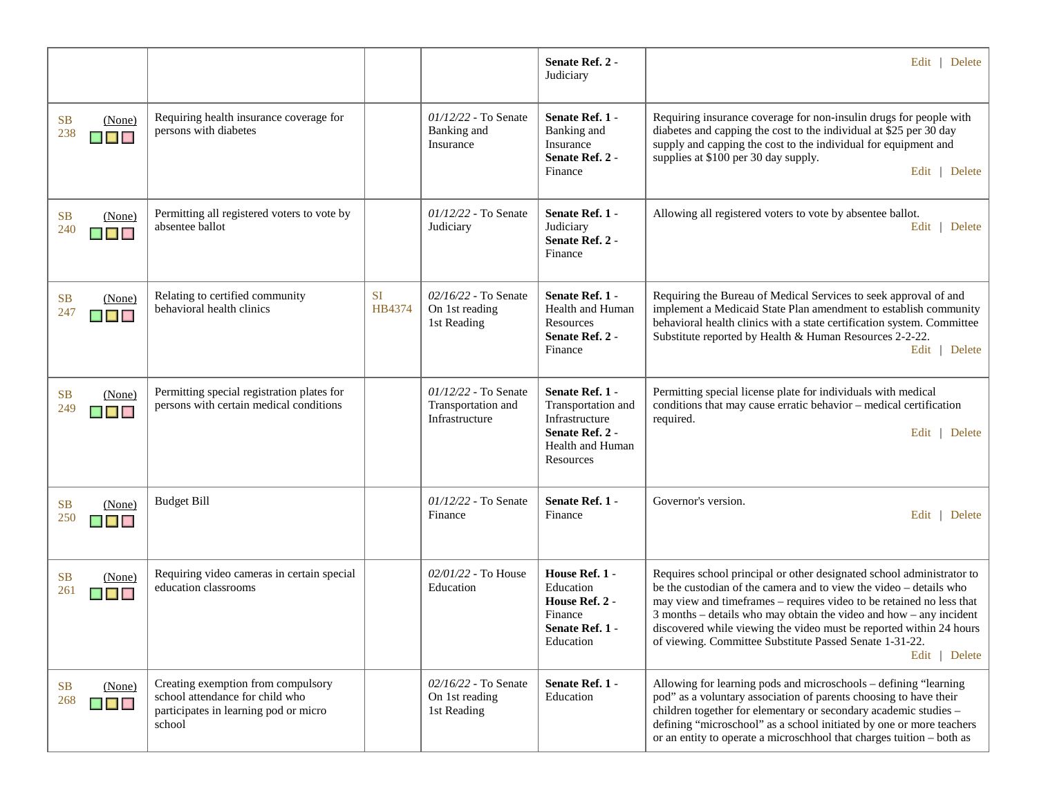|                                              |                                                                                                                          |                     |                                                                | Senate Ref. 2 -<br>Judiciary                                                                                | Edit   Delete                                                                                                                                                                                                                                                                                                                                                                                                                                |
|----------------------------------------------|--------------------------------------------------------------------------------------------------------------------------|---------------------|----------------------------------------------------------------|-------------------------------------------------------------------------------------------------------------|----------------------------------------------------------------------------------------------------------------------------------------------------------------------------------------------------------------------------------------------------------------------------------------------------------------------------------------------------------------------------------------------------------------------------------------------|
| <b>SB</b><br>(None)<br>238<br>$\blacksquare$ | Requiring health insurance coverage for<br>persons with diabetes                                                         |                     | $01/12/22$ - To Senate<br>Banking and<br>Insurance             | Senate Ref. 1 -<br>Banking and<br>Insurance<br>Senate Ref. 2 -<br>Finance                                   | Requiring insurance coverage for non-insulin drugs for people with<br>diabetes and capping the cost to the individual at \$25 per 30 day<br>supply and capping the cost to the individual for equipment and<br>supplies at \$100 per 30 day supply.<br>Edit   Delete                                                                                                                                                                         |
| <b>SB</b><br>(None)<br>240<br>$\blacksquare$ | Permitting all registered voters to vote by<br>absentee ballot                                                           |                     | $01/12/22$ - To Senate<br>Judiciary                            | Senate Ref. 1 -<br>Judiciary<br>Senate Ref. 2 -<br>Finance                                                  | Allowing all registered voters to vote by absentee ballot.<br>Edit   Delete                                                                                                                                                                                                                                                                                                                                                                  |
| <b>SB</b><br>(None)<br>247<br>$\blacksquare$ | Relating to certified community<br>behavioral health clinics                                                             | <b>SI</b><br>HB4374 | $02/16/22$ - To Senate<br>On 1st reading<br>1st Reading        | Senate Ref. 1 -<br>Health and Human<br>Resources<br>Senate Ref. 2 -<br>Finance                              | Requiring the Bureau of Medical Services to seek approval of and<br>implement a Medicaid State Plan amendment to establish community<br>behavioral health clinics with a state certification system. Committee<br>Substitute reported by Health & Human Resources 2-2-22.<br>Edit   Delete                                                                                                                                                   |
| <b>SB</b><br>(None)<br>249<br>$\blacksquare$ | Permitting special registration plates for<br>persons with certain medical conditions                                    |                     | $01/12/22$ - To Senate<br>Transportation and<br>Infrastructure | Senate Ref. 1 -<br>Transportation and<br>Infrastructure<br>Senate Ref. 2 -<br>Health and Human<br>Resources | Permitting special license plate for individuals with medical<br>conditions that may cause erratic behavior - medical certification<br>required.<br>Edit   Delete                                                                                                                                                                                                                                                                            |
| <b>SB</b><br>(None)<br>250<br>$\blacksquare$ | <b>Budget Bill</b>                                                                                                       |                     | $01/12/22$ - To Senate<br>Finance                              | Senate Ref. 1 -<br>Finance                                                                                  | Governor's version.<br>Edit   Delete                                                                                                                                                                                                                                                                                                                                                                                                         |
| <b>SB</b><br>(None)<br>261<br>$\blacksquare$ | Requiring video cameras in certain special<br>education classrooms                                                       |                     | $02/01/22$ - To House<br>Education                             | House Ref. 1 -<br>Education<br>House Ref. 2 -<br>Finance<br>Senate Ref. 1 -<br>Education                    | Requires school principal or other designated school administrator to<br>be the custodian of the camera and to view the video - details who<br>may view and timeframes – requires video to be retained no less that<br>3 months – details who may obtain the video and how – any incident<br>discovered while viewing the video must be reported within 24 hours<br>of viewing. Committee Substitute Passed Senate 1-31-22.<br>Edit   Delete |
| <b>SB</b><br>(None)<br>268<br>$\blacksquare$ | Creating exemption from compulsory<br>school attendance for child who<br>participates in learning pod or micro<br>school |                     | $02/16/22$ - To Senate<br>On 1st reading<br>1st Reading        | Senate Ref. 1 -<br>Education                                                                                | Allowing for learning pods and microschools - defining "learning<br>pod" as a voluntary association of parents choosing to have their<br>children together for elementary or secondary academic studies -<br>defining "microschool" as a school initiated by one or more teachers<br>or an entity to operate a microschhool that charges tuition - both as                                                                                   |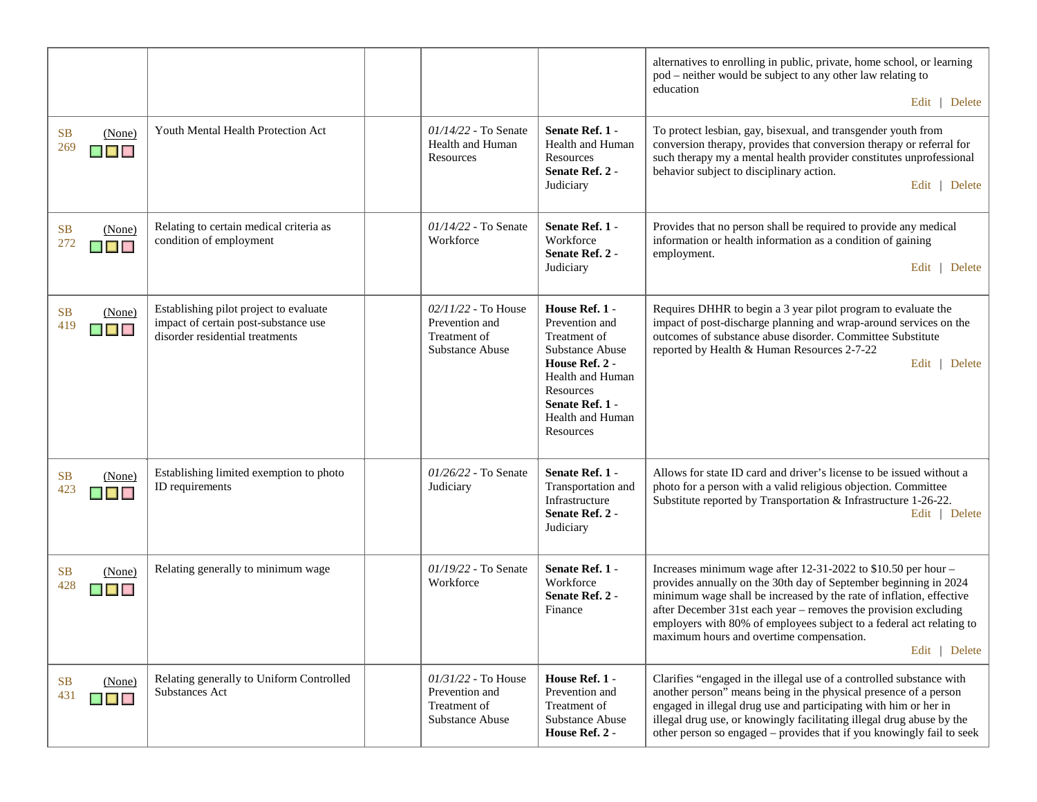|                                                                            |                                                                                                                   |                                                                                   |                                                                                                                                                                                   | alternatives to enrolling in public, private, home school, or learning<br>pod – neither would be subject to any other law relating to<br>education<br>Edit   Delete                                                                                                                                                                                                                                                |
|----------------------------------------------------------------------------|-------------------------------------------------------------------------------------------------------------------|-----------------------------------------------------------------------------------|-----------------------------------------------------------------------------------------------------------------------------------------------------------------------------------|--------------------------------------------------------------------------------------------------------------------------------------------------------------------------------------------------------------------------------------------------------------------------------------------------------------------------------------------------------------------------------------------------------------------|
| <b>SB</b><br>(None)<br>269<br>$\blacksquare$ $\blacksquare$ $\blacksquare$ | Youth Mental Health Protection Act                                                                                | $01/14/22$ - To Senate<br>Health and Human<br>Resources                           | Senate Ref. 1 -<br><b>Health and Human</b><br>Resources<br>Senate Ref. 2 -<br>Judiciary                                                                                           | To protect lesbian, gay, bisexual, and transgender youth from<br>conversion therapy, provides that conversion therapy or referral for<br>such therapy my a mental health provider constitutes unprofessional<br>behavior subject to disciplinary action.<br>Edit   Delete                                                                                                                                          |
| <b>SB</b><br>(None)<br>272<br>▉▉▉                                          | Relating to certain medical criteria as<br>condition of employment                                                | $01/14/22$ - To Senate<br>Workforce                                               | Senate Ref. 1 -<br>Workforce<br>Senate Ref. 2 -<br>Judiciary                                                                                                                      | Provides that no person shall be required to provide any medical<br>information or health information as a condition of gaining<br>employment.<br>Edit   Delete                                                                                                                                                                                                                                                    |
| <b>SB</b><br>(None)<br>419<br>$\blacksquare$                               | Establishing pilot project to evaluate<br>impact of certain post-substance use<br>disorder residential treatments | $02/11/22$ - To House<br>Prevention and<br>Treatment of<br>Substance Abuse        | House Ref. 1 -<br>Prevention and<br>Treatment of<br>Substance Abuse<br>House Ref. 2 -<br><b>Health and Human</b><br>Resources<br>Senate Ref. 1 -<br>Health and Human<br>Resources | Requires DHHR to begin a 3 year pilot program to evaluate the<br>impact of post-discharge planning and wrap-around services on the<br>outcomes of substance abuse disorder. Committee Substitute<br>reported by Health & Human Resources 2-7-22<br>Edit   Delete                                                                                                                                                   |
| <b>SB</b><br>(None)<br>423<br>▉▉▉                                          | Establishing limited exemption to photo<br>ID requirements                                                        | 01/26/22 - To Senate<br>Judiciary                                                 | Senate Ref. 1 -<br>Transportation and<br>Infrastructure<br>Senate Ref. 2 -<br>Judiciary                                                                                           | Allows for state ID card and driver's license to be issued without a<br>photo for a person with a valid religious objection. Committee<br>Substitute reported by Transportation & Infrastructure 1-26-22.<br>Edit   Delete                                                                                                                                                                                         |
| <b>SB</b><br>(None)<br>428<br><b>BELLE</b>                                 | Relating generally to minimum wage                                                                                | 01/19/22 - To Senate<br>Workforce                                                 | Senate Ref. 1 -<br>Workforce<br>Senate Ref. 2 -<br>Finance                                                                                                                        | Increases minimum wage after $12-31-2022$ to \$10.50 per hour -<br>provides annually on the 30th day of September beginning in 2024<br>minimum wage shall be increased by the rate of inflation, effective<br>after December 31st each year – removes the provision excluding<br>employers with 80% of employees subject to a federal act relating to<br>maximum hours and overtime compensation.<br>Edit   Delete |
| <b>SB</b><br>(None)<br>431<br>$\blacksquare$                               | Relating generally to Uniform Controlled<br>Substances Act                                                        | $01/31/22$ - To House<br>Prevention and<br>Treatment of<br><b>Substance Abuse</b> | House Ref. 1 -<br>Prevention and<br>Treatment of<br><b>Substance Abuse</b><br>House Ref. 2 -                                                                                      | Clarifies "engaged in the illegal use of a controlled substance with<br>another person" means being in the physical presence of a person<br>engaged in illegal drug use and participating with him or her in<br>illegal drug use, or knowingly facilitating illegal drug abuse by the<br>other person so engaged – provides that if you knowingly fail to seek                                                     |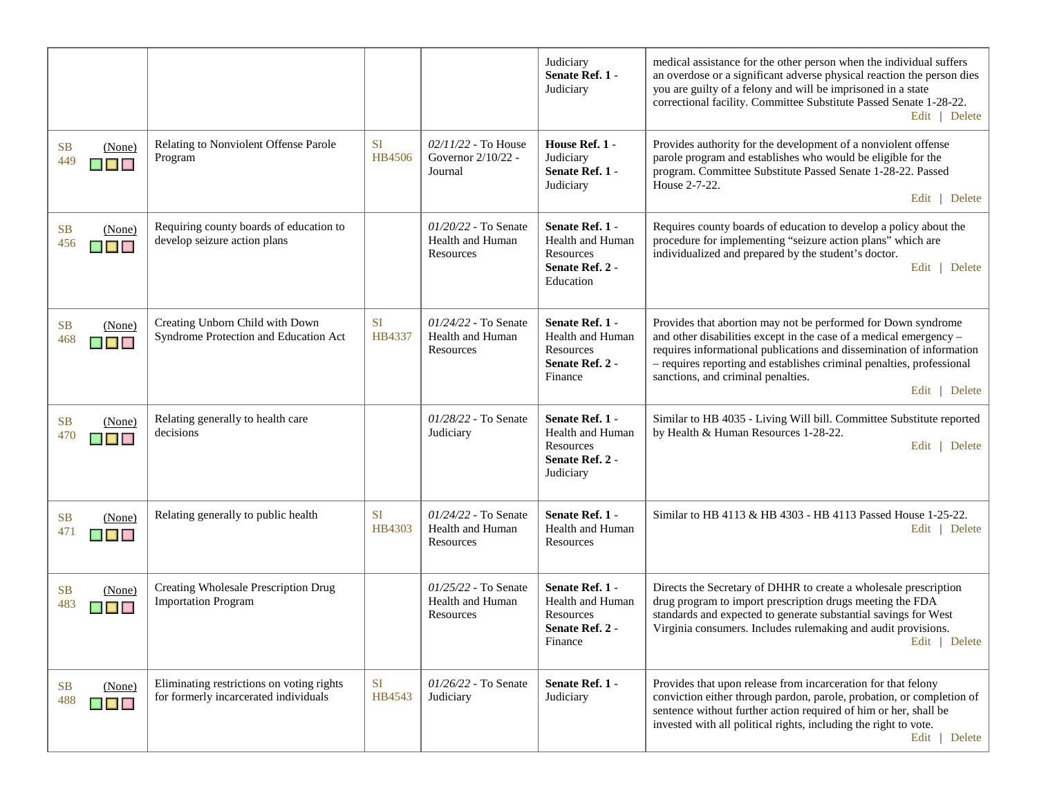|                                                                            |                                                                                    |                     |                                                                | Judiciary<br>Senate Ref. 1 -<br>Judiciary                                             | medical assistance for the other person when the individual suffers<br>an overdose or a significant adverse physical reaction the person dies<br>you are guilty of a felony and will be imprisoned in a state<br>correctional facility. Committee Substitute Passed Senate 1-28-22.<br>Edit   Delete                                        |
|----------------------------------------------------------------------------|------------------------------------------------------------------------------------|---------------------|----------------------------------------------------------------|---------------------------------------------------------------------------------------|---------------------------------------------------------------------------------------------------------------------------------------------------------------------------------------------------------------------------------------------------------------------------------------------------------------------------------------------|
| <b>SB</b><br>(None)<br>449<br>$\blacksquare$ $\blacksquare$ $\blacksquare$ | Relating to Nonviolent Offense Parole<br>Program                                   | <b>SI</b><br>HB4506 | $02/11/22$ - To House<br>Governor 2/10/22 -<br>Journal         | House Ref. 1 -<br>Judiciary<br>Senate Ref. 1 -<br>Judiciary                           | Provides authority for the development of a nonviolent offense<br>parole program and establishes who would be eligible for the<br>program. Committee Substitute Passed Senate 1-28-22. Passed<br>House 2-7-22.<br>Edit   Delete                                                                                                             |
| SB<br>(None)<br>456<br>$\blacksquare$                                      | Requiring county boards of education to<br>develop seizure action plans            |                     | $01/20/22$ - To Senate<br>Health and Human<br>Resources        | Senate Ref. 1 -<br>Health and Human<br>Resources<br>Senate Ref. 2 -<br>Education      | Requires county boards of education to develop a policy about the<br>procedure for implementing "seizure action plans" which are<br>individualized and prepared by the student's doctor.<br>Edit   Delete                                                                                                                                   |
| SB<br>(None)<br>468<br>$\blacksquare$ $\blacksquare$ $\blacksquare$        | Creating Unborn Child with Down<br>Syndrome Protection and Education Act           | <b>SI</b><br>HB4337 | $01/24/22$ - To Senate<br>Health and Human<br>Resources        | Senate Ref. 1 -<br>Health and Human<br>Resources<br>Senate Ref. 2 -<br>Finance        | Provides that abortion may not be performed for Down syndrome<br>and other disabilities except in the case of a medical emergency -<br>requires informational publications and dissemination of information<br>- requires reporting and establishes criminal penalties, professional<br>sanctions, and criminal penalties.<br>Edit   Delete |
| SB<br>(None)<br>470<br>$\blacksquare$                                      | Relating generally to health care<br>decisions                                     |                     | 01/28/22 - To Senate<br>Judiciary                              | Senate Ref. 1 -<br>Health and Human<br>Resources<br>Senate Ref. 2 -<br>Judiciary      | Similar to HB 4035 - Living Will bill. Committee Substitute reported<br>by Health & Human Resources 1-28-22.<br>Edit   Delete                                                                                                                                                                                                               |
| SB<br>(None)<br>471<br><b>THE REAL</b>                                     | Relating generally to public health                                                | <b>SI</b><br>HB4303 | 01/24/22 - To Senate<br>Health and Human<br>Resources          | Senate Ref. 1 -<br>Health and Human<br>Resources                                      | Similar to HB 4113 & HB 4303 - HB 4113 Passed House 1-25-22.<br>Edit   Delete                                                                                                                                                                                                                                                               |
| <b>SB</b><br>(None)<br>483<br>▄▄▄                                          | Creating Wholesale Prescription Drug<br><b>Importation Program</b>                 |                     | $01/25/22$ - To Senate<br><b>Health and Human</b><br>Resources | Senate Ref. 1 -<br><b>Health and Human</b><br>Resources<br>Senate Ref. 2 -<br>Finance | Directs the Secretary of DHHR to create a wholesale prescription<br>drug program to import prescription drugs meeting the FDA<br>standards and expected to generate substantial savings for West<br>Virginia consumers. Includes rulemaking and audit provisions.<br>Edit   Delete                                                          |
| <b>SB</b><br>(None)<br>488<br>$\blacksquare$ $\blacksquare$                | Eliminating restrictions on voting rights<br>for formerly incarcerated individuals | <b>SI</b><br>HB4543 | 01/26/22 - To Senate<br>Judiciary                              | Senate Ref. 1 -<br>Judiciary                                                          | Provides that upon release from incarceration for that felony<br>conviction either through pardon, parole, probation, or completion of<br>sentence without further action required of him or her, shall be<br>invested with all political rights, including the right to vote.<br>Edit   Delete                                             |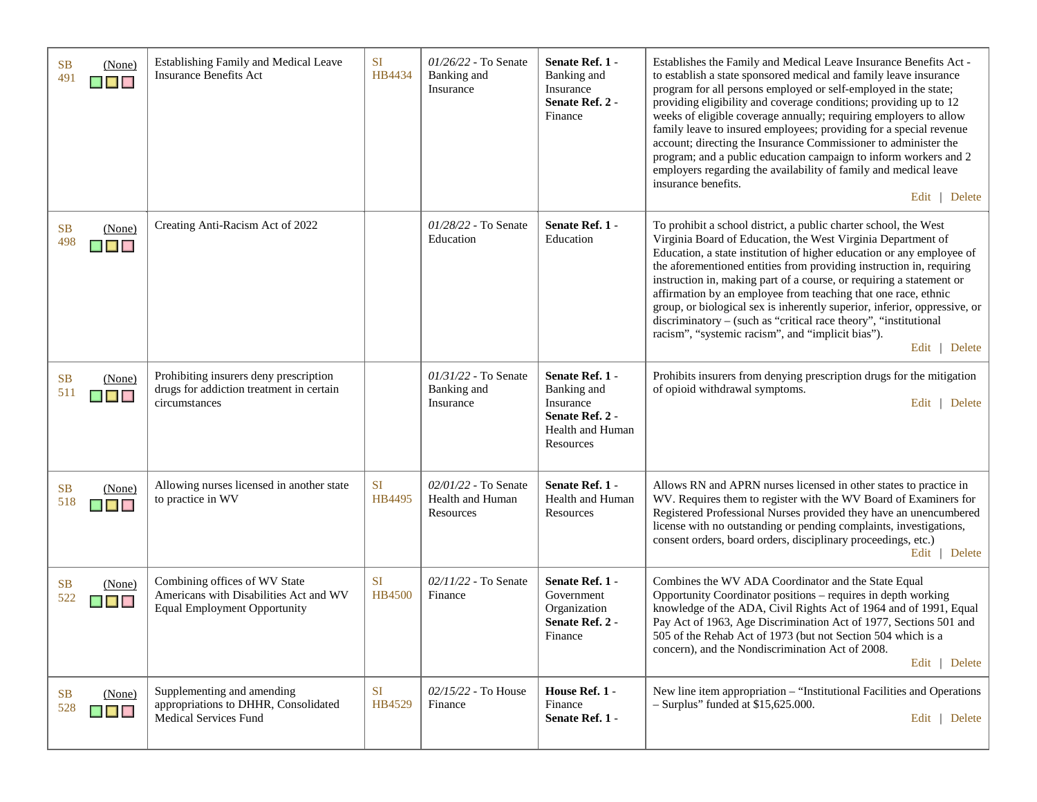| <b>SB</b><br>(None)<br>491<br>▉▉▉                                          | Establishing Family and Medical Leave<br><b>Insurance Benefits Act</b>                                         | <b>SI</b><br>HB4434        | $01/26/22$ - To Senate<br>Banking and<br>Insurance    | Senate Ref. 1 -<br>Banking and<br>Insurance<br>Senate Ref. 2 -<br>Finance                       | Establishes the Family and Medical Leave Insurance Benefits Act -<br>to establish a state sponsored medical and family leave insurance<br>program for all persons employed or self-employed in the state;<br>providing eligibility and coverage conditions; providing up to 12<br>weeks of eligible coverage annually; requiring employers to allow<br>family leave to insured employees; providing for a special revenue<br>account; directing the Insurance Commissioner to administer the<br>program; and a public education campaign to inform workers and 2<br>employers regarding the availability of family and medical leave<br>insurance benefits.<br>Edit   Delete |
|----------------------------------------------------------------------------|----------------------------------------------------------------------------------------------------------------|----------------------------|-------------------------------------------------------|-------------------------------------------------------------------------------------------------|------------------------------------------------------------------------------------------------------------------------------------------------------------------------------------------------------------------------------------------------------------------------------------------------------------------------------------------------------------------------------------------------------------------------------------------------------------------------------------------------------------------------------------------------------------------------------------------------------------------------------------------------------------------------------|
| <b>SB</b><br>(None)<br>498<br>$\blacksquare$ $\blacksquare$                | Creating Anti-Racism Act of 2022                                                                               |                            | 01/28/22 - To Senate<br>Education                     | Senate Ref. 1 -<br>Education                                                                    | To prohibit a school district, a public charter school, the West<br>Virginia Board of Education, the West Virginia Department of<br>Education, a state institution of higher education or any employee of<br>the aforementioned entities from providing instruction in, requiring<br>instruction in, making part of a course, or requiring a statement or<br>affirmation by an employee from teaching that one race, ethnic<br>group, or biological sex is inherently superior, inferior, oppressive, or<br>discriminatory – (such as "critical race theory", "institutional<br>racism", "systemic racism", and "implicit bias").<br>Edit   Delete                           |
| <b>SB</b><br>(None)<br>511<br>$\blacksquare$ $\blacksquare$ $\blacksquare$ | Prohibiting insurers deny prescription<br>drugs for addiction treatment in certain<br>circumstances            |                            | $01/31/22$ - To Senate<br>Banking and<br>Insurance    | Senate Ref. 1 -<br>Banking and<br>Insurance<br>Senate Ref. 2 -<br>Health and Human<br>Resources | Prohibits insurers from denying prescription drugs for the mitigation<br>of opioid withdrawal symptoms.<br>Edit   Delete                                                                                                                                                                                                                                                                                                                                                                                                                                                                                                                                                     |
| <b>SB</b><br>(None)<br>518<br>▉▊▊                                          | Allowing nurses licensed in another state<br>to practice in WV                                                 | <b>SI</b><br>HB4495        | 02/01/22 - To Senate<br>Health and Human<br>Resources | Senate Ref. 1 -<br>Health and Human<br>Resources                                                | Allows RN and APRN nurses licensed in other states to practice in<br>WV. Requires them to register with the WV Board of Examiners for<br>Registered Professional Nurses provided they have an unencumbered<br>license with no outstanding or pending complaints, investigations,<br>consent orders, board orders, disciplinary proceedings, etc.)<br>Edit   Delete                                                                                                                                                                                                                                                                                                           |
| <b>SB</b><br>(None)<br>522<br>$\blacksquare$                               | Combining offices of WV State<br>Americans with Disabilities Act and WV<br><b>Equal Employment Opportunity</b> | <b>SI</b><br><b>HB4500</b> | 02/11/22 - To Senate<br>Finance                       | Senate Ref. 1 -<br>Government<br>Organization<br>Senate Ref. 2 -<br>Finance                     | Combines the WV ADA Coordinator and the State Equal<br>Opportunity Coordinator positions – requires in depth working<br>knowledge of the ADA, Civil Rights Act of 1964 and of 1991, Equal<br>Pay Act of 1963, Age Discrimination Act of 1977, Sections 501 and<br>505 of the Rehab Act of 1973 (but not Section 504 which is a<br>concern), and the Nondiscrimination Act of 2008.<br>Edit   Delete                                                                                                                                                                                                                                                                          |
| <b>SB</b><br>(None)<br>528<br>$\blacksquare$ $\blacksquare$                | Supplementing and amending<br>appropriations to DHHR, Consolidated<br>Medical Services Fund                    | <b>SI</b><br>HB4529        | $02/15/22$ - To House<br>Finance                      | House Ref. 1 -<br>Finance<br>Senate Ref. 1 -                                                    | New line item appropriation - "Institutional Facilities and Operations<br>$-$ Surplus" funded at \$15,625.000.<br>Edit   Delete                                                                                                                                                                                                                                                                                                                                                                                                                                                                                                                                              |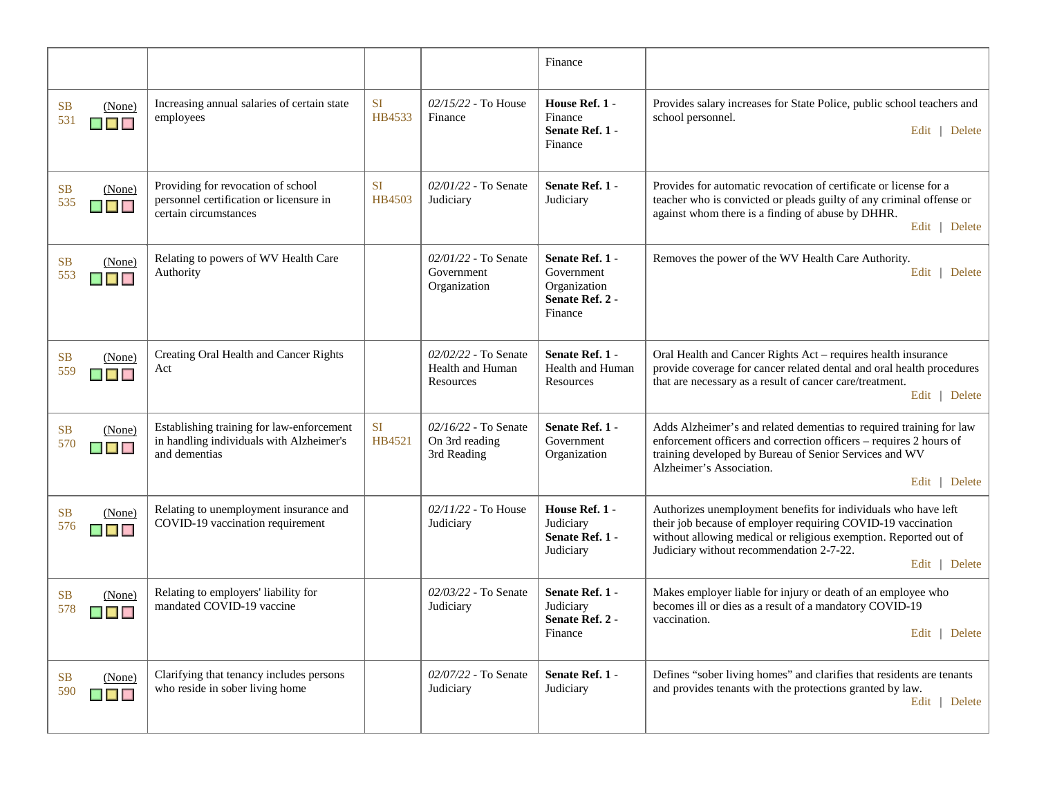|                                                                            |                                                                                                        |                     |                                                       | Finance                                                                     |                                                                                                                                                                                                                                                                 |
|----------------------------------------------------------------------------|--------------------------------------------------------------------------------------------------------|---------------------|-------------------------------------------------------|-----------------------------------------------------------------------------|-----------------------------------------------------------------------------------------------------------------------------------------------------------------------------------------------------------------------------------------------------------------|
| <b>SB</b><br>(None)<br>531<br>$\blacksquare$                               | Increasing annual salaries of certain state<br>employees                                               | <b>SI</b><br>HB4533 | 02/15/22 - To House<br>Finance                        | House Ref. 1 -<br>Finance<br>Senate Ref. 1 -<br>Finance                     | Provides salary increases for State Police, public school teachers and<br>school personnel.<br>Edit   Delete                                                                                                                                                    |
| <b>SB</b><br>(None)<br>535<br>$\blacksquare$                               | Providing for revocation of school<br>personnel certification or licensure in<br>certain circumstances | <b>SI</b><br>HB4503 | 02/01/22 - To Senate<br>Judiciary                     | Senate Ref. 1 -<br>Judiciary                                                | Provides for automatic revocation of certificate or license for a<br>teacher who is convicted or pleads guilty of any criminal offense or<br>against whom there is a finding of abuse by DHHR.<br>Edit   Delete                                                 |
| <b>SB</b><br>(None)<br>553<br>$\blacksquare$                               | Relating to powers of WV Health Care<br>Authority                                                      |                     | 02/01/22 - To Senate<br>Government<br>Organization    | Senate Ref. 1 -<br>Government<br>Organization<br>Senate Ref. 2 -<br>Finance | Removes the power of the WV Health Care Authority.<br>Edit   Delete                                                                                                                                                                                             |
| <b>SB</b><br>(None)<br>559<br>$\blacksquare$                               | Creating Oral Health and Cancer Rights<br>Act                                                          |                     | 02/02/22 - To Senate<br>Health and Human<br>Resources | Senate Ref. 1 -<br><b>Health and Human</b><br>Resources                     | Oral Health and Cancer Rights Act - requires health insurance<br>provide coverage for cancer related dental and oral health procedures<br>that are necessary as a result of cancer care/treatment.<br>Edit   Delete                                             |
| <b>SB</b><br>(None)<br>570<br>$\blacksquare$                               | Establishing training for law-enforcement<br>in handling individuals with Alzheimer's<br>and dementias | <b>SI</b><br>HB4521 | 02/16/22 - To Senate<br>On 3rd reading<br>3rd Reading | Senate Ref. 1 -<br>Government<br>Organization                               | Adds Alzheimer's and related dementias to required training for law<br>enforcement officers and correction officers - requires 2 hours of<br>training developed by Bureau of Senior Services and WV<br>Alzheimer's Association.<br>Edit   Delete                |
| <b>SB</b><br>(None)<br>576<br>$\blacksquare$                               | Relating to unemployment insurance and<br>COVID-19 vaccination requirement                             |                     | 02/11/22 - To House<br>Judiciary                      | House Ref. 1 -<br>Judiciary<br>Senate Ref. 1 -<br>Judiciary                 | Authorizes unemployment benefits for individuals who have left<br>their job because of employer requiring COVID-19 vaccination<br>without allowing medical or religious exemption. Reported out of<br>Judiciary without recommendation 2-7-22.<br>Edit   Delete |
| <b>SB</b><br>(None)<br>578<br>$\blacksquare$ $\blacksquare$ $\blacksquare$ | Relating to employers' liability for<br>mandated COVID-19 vaccine                                      |                     | 02/03/22 - To Senate<br>Judiciary                     | Senate Ref. 1 -<br>Judiciary<br>Senate Ref. 2 -<br>Finance                  | Makes employer liable for injury or death of an employee who<br>becomes ill or dies as a result of a mandatory COVID-19<br>vaccination.<br>Edit   Delete                                                                                                        |
| <b>SB</b><br>(None)<br>590<br>$\blacksquare$                               | Clarifying that tenancy includes persons<br>who reside in sober living home                            |                     | 02/07/22 - To Senate<br>Judiciary                     | Senate Ref. 1 -<br>Judiciary                                                | Defines "sober living homes" and clarifies that residents are tenants<br>and provides tenants with the protections granted by law.<br>Edit   Delete                                                                                                             |
|                                                                            |                                                                                                        |                     |                                                       |                                                                             |                                                                                                                                                                                                                                                                 |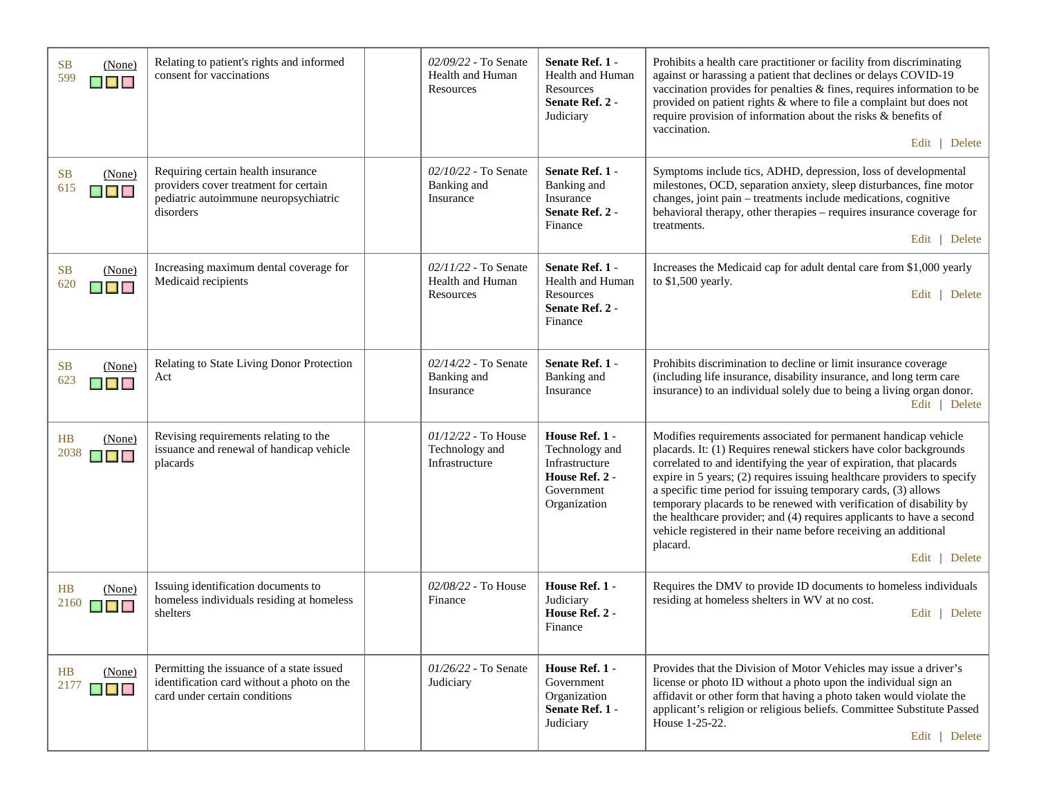| <b>SB</b><br>(None)<br>599<br>$\blacksquare$                               | Relating to patient's rights and informed<br>consent for vaccinations                                                             | 02/09/22 - To Senate<br>Health and Human<br>Resources     | Senate Ref. 1 -<br>Health and Human<br>Resources<br>Senate Ref. 2 -<br>Judiciary                   | Prohibits a health care practitioner or facility from discriminating<br>against or harassing a patient that declines or delays COVID-19<br>vaccination provides for penalties & fines, requires information to be<br>provided on patient rights & where to file a complaint but does not<br>require provision of information about the risks & benefits of<br>vaccination.<br>Edit   Delete                                                                                                                                                                                                               |
|----------------------------------------------------------------------------|-----------------------------------------------------------------------------------------------------------------------------------|-----------------------------------------------------------|----------------------------------------------------------------------------------------------------|-----------------------------------------------------------------------------------------------------------------------------------------------------------------------------------------------------------------------------------------------------------------------------------------------------------------------------------------------------------------------------------------------------------------------------------------------------------------------------------------------------------------------------------------------------------------------------------------------------------|
| <b>SB</b><br>(None)<br>615<br>$\blacksquare$                               | Requiring certain health insurance<br>providers cover treatment for certain<br>pediatric autoimmune neuropsychiatric<br>disorders | 02/10/22 - To Senate<br>Banking and<br>Insurance          | Senate Ref. 1 -<br>Banking and<br>Insurance<br>Senate Ref. 2 -<br>Finance                          | Symptoms include tics, ADHD, depression, loss of developmental<br>milestones, OCD, separation anxiety, sleep disturbances, fine motor<br>changes, joint pain – treatments include medications, cognitive<br>behavioral therapy, other therapies - requires insurance coverage for<br>treatments.<br>Edit   Delete                                                                                                                                                                                                                                                                                         |
| <b>SB</b><br>(None)<br>620<br>$\blacksquare$ $\blacksquare$ $\blacksquare$ | Increasing maximum dental coverage for<br>Medicaid recipients                                                                     | $02/11/22$ - To Senate<br>Health and Human<br>Resources   | Senate Ref. 1 -<br>Health and Human<br>Resources<br>Senate Ref. 2 -<br>Finance                     | Increases the Medicaid cap for adult dental care from \$1,000 yearly<br>to \$1,500 yearly.<br>Edit   Delete                                                                                                                                                                                                                                                                                                                                                                                                                                                                                               |
| <b>SB</b><br>(None)<br>623<br><b>K E K</b>                                 | Relating to State Living Donor Protection<br>Act                                                                                  | 02/14/22 - To Senate<br>Banking and<br>Insurance          | Senate Ref. 1 -<br>Banking and<br>Insurance                                                        | Prohibits discrimination to decline or limit insurance coverage<br>(including life insurance, disability insurance, and long term care<br>insurance) to an individual solely due to being a living organ donor.<br>Edit   Delete                                                                                                                                                                                                                                                                                                                                                                          |
| HB<br>(None)<br>2038<br>▉▉▉                                                | Revising requirements relating to the<br>issuance and renewal of handicap vehicle<br>placards                                     | $01/12/22$ - To House<br>Technology and<br>Infrastructure | House Ref. 1 -<br>Technology and<br>Infrastructure<br>House Ref. 2 -<br>Government<br>Organization | Modifies requirements associated for permanent handicap vehicle<br>placards. It: (1) Requires renewal stickers have color backgrounds<br>correlated to and identifying the year of expiration, that placards<br>expire in 5 years; (2) requires issuing healthcare providers to specify<br>a specific time period for issuing temporary cards, (3) allows<br>temporary placards to be renewed with verification of disability by<br>the healthcare provider; and (4) requires applicants to have a second<br>vehicle registered in their name before receiving an additional<br>placard.<br>Edit   Delete |
| HB<br>(None)<br>2160<br><b>The Contract of Section</b>                     | Issuing identification documents to<br>homeless individuals residing at homeless<br>shelters                                      | 02/08/22 - To House<br>Finance                            | House Ref. 1 -<br>Judiciary<br>House Ref. 2 -<br>Finance                                           | Requires the DMV to provide ID documents to homeless individuals<br>residing at homeless shelters in WV at no cost.<br>Edit   Delete                                                                                                                                                                                                                                                                                                                                                                                                                                                                      |
| HB<br>(None)<br>2177<br>▉▉▉                                                | Permitting the issuance of a state issued<br>identification card without a photo on the<br>card under certain conditions          | $01/26/22$ - To Senate<br>Judiciary                       | House Ref. 1 -<br>Government<br>Organization<br>Senate Ref. 1 -<br>Judiciary                       | Provides that the Division of Motor Vehicles may issue a driver's<br>license or photo ID without a photo upon the individual sign an<br>affidavit or other form that having a photo taken would violate the<br>applicant's religion or religious beliefs. Committee Substitute Passed<br>House 1-25-22.<br>Edit   Delete                                                                                                                                                                                                                                                                                  |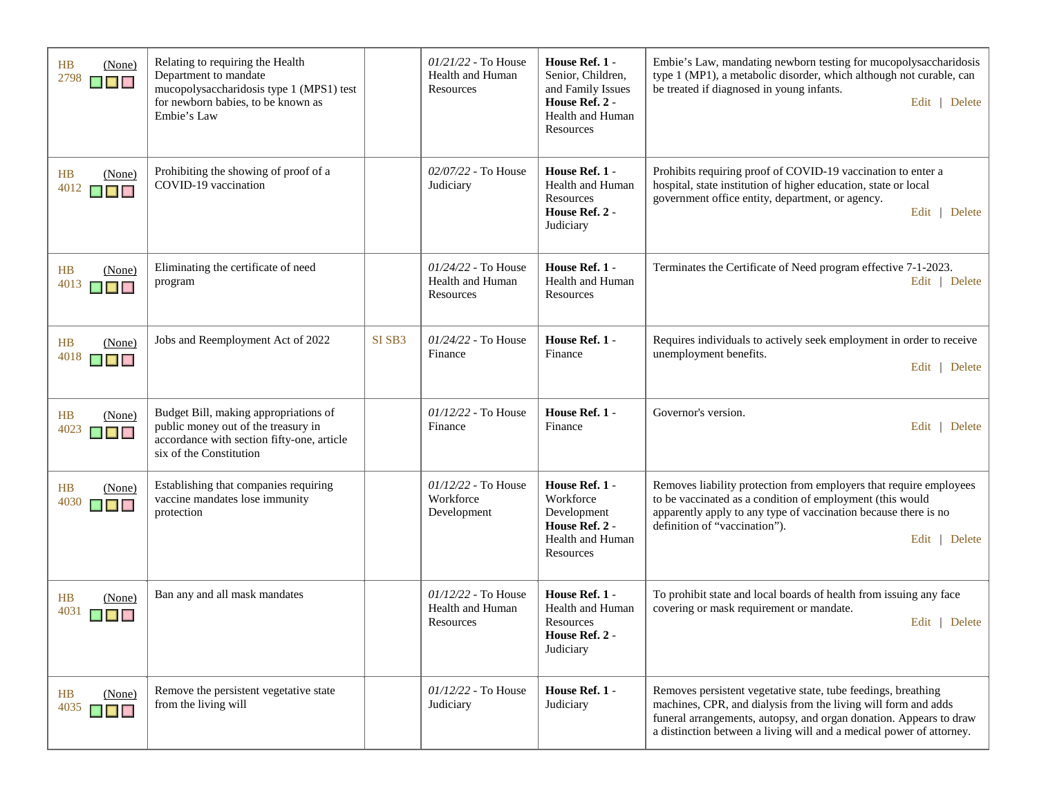| HB<br>(None)<br>2798<br><b>K B B</b>                                 | Relating to requiring the Health<br>Department to mandate<br>mucopolysaccharidosis type 1 (MPS1) test<br>for newborn babies, to be known as<br>Embie's Law |                    | $01/21/22$ - To House<br>Health and Human<br>Resources | House Ref. 1 -<br>Senior, Children,<br>and Family Issues<br>House Ref. 2 -<br>Health and Human<br>Resources | Embie's Law, mandating newborn testing for mucopolysaccharidosis<br>type 1 (MP1), a metabolic disorder, which although not curable, can<br>be treated if diagnosed in young infants.<br>Edit   Delete                                                                         |
|----------------------------------------------------------------------|------------------------------------------------------------------------------------------------------------------------------------------------------------|--------------------|--------------------------------------------------------|-------------------------------------------------------------------------------------------------------------|-------------------------------------------------------------------------------------------------------------------------------------------------------------------------------------------------------------------------------------------------------------------------------|
| HB<br>(None)<br>4012<br>$\blacksquare$                               | Prohibiting the showing of proof of a<br>COVID-19 vaccination                                                                                              |                    | 02/07/22 - To House<br>Judiciary                       | House Ref. 1 -<br>Health and Human<br>Resources<br>House Ref. 2 -<br>Judiciary                              | Prohibits requiring proof of COVID-19 vaccination to enter a<br>hospital, state institution of higher education, state or local<br>government office entity, department, or agency.<br>Edit   Delete                                                                          |
| HB<br>(None)<br>4013<br>▉▉                                           | Eliminating the certificate of need<br>program                                                                                                             |                    | $01/24/22$ - To House<br>Health and Human<br>Resources | House Ref. 1 -<br>Health and Human<br>Resources                                                             | Terminates the Certificate of Need program effective 7-1-2023.<br>Edit   Delete                                                                                                                                                                                               |
| HB<br>(None)<br>4018<br><b>B B</b>                                   | Jobs and Reemployment Act of 2022                                                                                                                          | SI SB <sub>3</sub> | 01/24/22 - To House<br>Finance                         | House Ref. 1 -<br>Finance                                                                                   | Requires individuals to actively seek employment in order to receive<br>unemployment benefits.<br>Edit   Delete                                                                                                                                                               |
| HB<br>(None)<br>4023<br>$\blacksquare$                               | Budget Bill, making appropriations of<br>public money out of the treasury in<br>accordance with section fifty-one, article<br>six of the Constitution      |                    | $01/12/22$ - To House<br>Finance                       | House Ref. 1 -<br>Finance                                                                                   | Governor's version.<br>Edit   Delete                                                                                                                                                                                                                                          |
| HB<br>(None)<br>4030<br>$\blacksquare$                               | Establishing that companies requiring<br>vaccine mandates lose immunity<br>protection                                                                      |                    | 01/12/22 - To House<br>Workforce<br>Development        | House Ref. 1 -<br>Workforce<br>Development<br>House Ref. 2 -<br>Health and Human<br>Resources               | Removes liability protection from employers that require employees<br>to be vaccinated as a condition of employment (this would<br>apparently apply to any type of vaccination because there is no<br>definition of "vaccination").<br>Edit   Delete                          |
| HB<br>(None)<br>4031<br>▉▉▉                                          | Ban any and all mask mandates                                                                                                                              |                    | $01/12/22$ - To House<br>Health and Human<br>Resources | House Ref. 1 -<br>Health and Human<br>Resources<br>House Ref. 2 -<br>Judiciary                              | To prohibit state and local boards of health from issuing any face<br>covering or mask requirement or mandate.<br>Edit   Delete                                                                                                                                               |
| HB<br>(None)<br>4035<br>$\blacksquare$ $\blacksquare$ $\blacksquare$ | Remove the persistent vegetative state<br>from the living will                                                                                             |                    | $01/12/22$ - To House<br>Judiciary                     | House Ref. 1 -<br>Judiciary                                                                                 | Removes persistent vegetative state, tube feedings, breathing<br>machines, CPR, and dialysis from the living will form and adds<br>funeral arrangements, autopsy, and organ donation. Appears to draw<br>a distinction between a living will and a medical power of attorney. |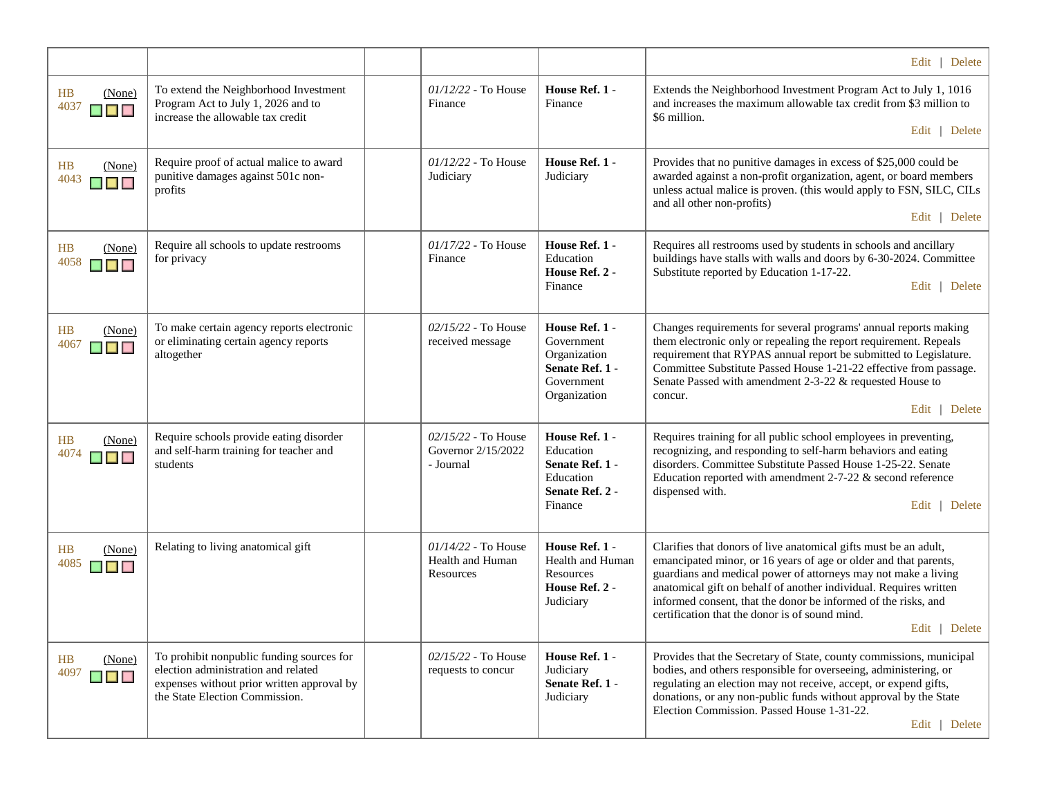|                                               |                                                                                                                                                                  |                                                        |                                                                                               | Edit   Delete                                                                                                                                                                                                                                                                                                                                                                                                    |
|-----------------------------------------------|------------------------------------------------------------------------------------------------------------------------------------------------------------------|--------------------------------------------------------|-----------------------------------------------------------------------------------------------|------------------------------------------------------------------------------------------------------------------------------------------------------------------------------------------------------------------------------------------------------------------------------------------------------------------------------------------------------------------------------------------------------------------|
| HB<br>(None)<br>4037<br>$\blacksquare$        | To extend the Neighborhood Investment<br>Program Act to July 1, 2026 and to<br>increase the allowable tax credit                                                 | $01/12/22$ - To House<br>Finance                       | House Ref. 1 -<br>Finance                                                                     | Extends the Neighborhood Investment Program Act to July 1, 1016<br>and increases the maximum allowable tax credit from \$3 million to<br>\$6 million.<br>Edit   Delete                                                                                                                                                                                                                                           |
| <b>HB</b><br>(None)<br>4043<br>$\blacksquare$ | Require proof of actual malice to award<br>punitive damages against 501c non-<br>profits                                                                         | $01/12/22$ - To House<br>Judiciary                     | House Ref. 1 -<br>Judiciary                                                                   | Provides that no punitive damages in excess of \$25,000 could be<br>awarded against a non-profit organization, agent, or board members<br>unless actual malice is proven. (this would apply to FSN, SILC, CILs<br>and all other non-profits)<br>Edit   Delete                                                                                                                                                    |
| HB<br>(None)<br>4058<br>▉▉▉                   | Require all schools to update restrooms<br>for privacy                                                                                                           | $01/17/22$ - To House<br>Finance                       | House Ref. 1 -<br>Education<br>House Ref. 2 -<br>Finance                                      | Requires all restrooms used by students in schools and ancillary<br>buildings have stalls with walls and doors by 6-30-2024. Committee<br>Substitute reported by Education 1-17-22.<br>Edit   Delete                                                                                                                                                                                                             |
| HB<br>(None)<br>4067<br>▉▉▉                   | To make certain agency reports electronic<br>or eliminating certain agency reports<br>altogether                                                                 | $02/15/22$ - To House<br>received message              | House Ref. 1 -<br>Government<br>Organization<br>Senate Ref. 1 -<br>Government<br>Organization | Changes requirements for several programs' annual reports making<br>them electronic only or repealing the report requirement. Repeals<br>requirement that RYPAS annual report be submitted to Legislature.<br>Committee Substitute Passed House 1-21-22 effective from passage.<br>Senate Passed with amendment 2-3-22 & requested House to<br>concur.<br>Edit   Delete                                          |
| HB<br>(None)<br>4074<br>▉▊▊                   | Require schools provide eating disorder<br>and self-harm training for teacher and<br>students                                                                    | 02/15/22 - To House<br>Governor 2/15/2022<br>- Journal | House Ref. 1 -<br>Education<br>Senate Ref. 1 -<br>Education<br>Senate Ref. 2 -<br>Finance     | Requires training for all public school employees in preventing,<br>recognizing, and responding to self-harm behaviors and eating<br>disorders. Committee Substitute Passed House 1-25-22. Senate<br>Education reported with amendment $2-7-22$ & second reference<br>dispensed with.<br>Edit   Delete                                                                                                           |
| HB<br>(None)<br>4085<br>▉▊▊                   | Relating to living anatomical gift                                                                                                                               | $01/14/22$ - To House<br>Health and Human<br>Resources | House Ref. 1 -<br>Health and Human<br><b>Resources</b><br>House Ref. 2 -<br>Judiciary         | Clarifies that donors of live anatomical gifts must be an adult,<br>emancipated minor, or 16 years of age or older and that parents,<br>guardians and medical power of attorneys may not make a living<br>anatomical gift on behalf of another individual. Requires written<br>informed consent, that the donor be informed of the risks, and<br>certification that the donor is of sound mind.<br>Edit   Delete |
| HB<br>(None)<br>4097<br>$\blacksquare$        | To prohibit nonpublic funding sources for<br>election administration and related<br>expenses without prior written approval by<br>the State Election Commission. | 02/15/22 - To House<br>requests to concur              | House Ref. 1 -<br>Judiciary<br>Senate Ref. 1 -<br>Judiciary                                   | Provides that the Secretary of State, county commissions, municipal<br>bodies, and others responsible for overseeing, administering, or<br>regulating an election may not receive, accept, or expend gifts,<br>donations, or any non-public funds without approval by the State<br>Election Commission. Passed House 1-31-22.<br>Edit   Delete                                                                   |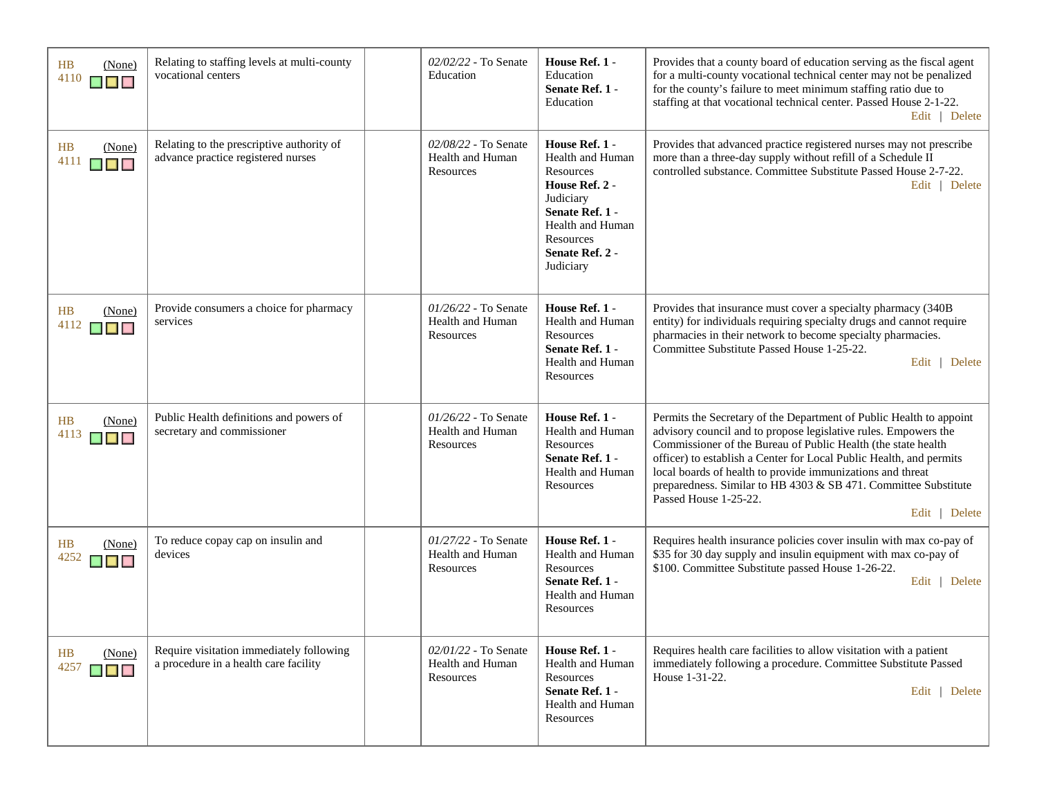| HB<br>4110 | (None)<br>$\blacksquare$                               | Relating to staffing levels at multi-county<br>vocational centers                 | 02/02/22 - To Senate<br>Education                     | House Ref. 1 -<br>Education<br>Senate Ref. 1 -<br>Education                                                                                                               | Provides that a county board of education serving as the fiscal agent<br>for a multi-county vocational technical center may not be penalized<br>for the county's failure to meet minimum staffing ratio due to<br>staffing at that vocational technical center. Passed House 2-1-22.<br>Edit   Delete                                                                                                                                                     |
|------------|--------------------------------------------------------|-----------------------------------------------------------------------------------|-------------------------------------------------------|---------------------------------------------------------------------------------------------------------------------------------------------------------------------------|-----------------------------------------------------------------------------------------------------------------------------------------------------------------------------------------------------------------------------------------------------------------------------------------------------------------------------------------------------------------------------------------------------------------------------------------------------------|
| HB<br>4111 | (None)<br>▉▉▉                                          | Relating to the prescriptive authority of<br>advance practice registered nurses   | 02/08/22 - To Senate<br>Health and Human<br>Resources | House Ref. 1 -<br>Health and Human<br>Resources<br>House Ref. 2 -<br>Judiciary<br>Senate Ref. 1 -<br><b>Health and Human</b><br>Resources<br>Senate Ref. 2 -<br>Judiciary | Provides that advanced practice registered nurses may not prescribe<br>more than a three-day supply without refill of a Schedule II<br>controlled substance. Committee Substitute Passed House 2-7-22.<br>Edit   Delete                                                                                                                                                                                                                                   |
| HB<br>4112 | (None)<br>$\blacksquare$ $\blacksquare$                | Provide consumers a choice for pharmacy<br>services                               | 01/26/22 - To Senate<br>Health and Human<br>Resources | House Ref. 1 -<br>Health and Human<br>Resources<br>Senate Ref. 1 -<br>Health and Human<br>Resources                                                                       | Provides that insurance must cover a specialty pharmacy (340B<br>entity) for individuals requiring specialty drugs and cannot require<br>pharmacies in their network to become specialty pharmacies.<br>Committee Substitute Passed House 1-25-22.<br>Edit   Delete                                                                                                                                                                                       |
| HB<br>4113 | (None)<br>$\blacksquare$ $\blacksquare$ $\blacksquare$ | Public Health definitions and powers of<br>secretary and commissioner             | 01/26/22 - To Senate<br>Health and Human<br>Resources | House Ref. 1 -<br>Health and Human<br>Resources<br>Senate Ref. 1 -<br>Health and Human<br>Resources                                                                       | Permits the Secretary of the Department of Public Health to appoint<br>advisory council and to propose legislative rules. Empowers the<br>Commissioner of the Bureau of Public Health (the state health<br>officer) to establish a Center for Local Public Health, and permits<br>local boards of health to provide immunizations and threat<br>preparedness. Similar to HB 4303 & SB 471. Committee Substitute<br>Passed House 1-25-22.<br>Edit   Delete |
| <b>HB</b>  | (None)<br>$4252$ $\Box$ $\Box$                         | To reduce copay cap on insulin and<br>devices                                     | 01/27/22 - To Senate<br>Health and Human<br>Resources | House Ref. 1 -<br>Health and Human<br>Resources<br>Senate Ref. 1 -<br>Health and Human<br>Resources                                                                       | Requires health insurance policies cover insulin with max co-pay of<br>\$35 for 30 day supply and insulin equipment with max co-pay of<br>\$100. Committee Substitute passed House 1-26-22.<br>Edit   Delete                                                                                                                                                                                                                                              |
| HB<br>4257 | (None)<br>$\blacksquare$                               | Require visitation immediately following<br>a procedure in a health care facility | 02/01/22 - To Senate<br>Health and Human<br>Resources | House Ref. 1 -<br><b>Health and Human</b><br><b>Resources</b><br>Senate Ref. 1 -<br>Health and Human<br>Resources                                                         | Requires health care facilities to allow visitation with a patient<br>immediately following a procedure. Committee Substitute Passed<br>House 1-31-22.<br>Edit   Delete                                                                                                                                                                                                                                                                                   |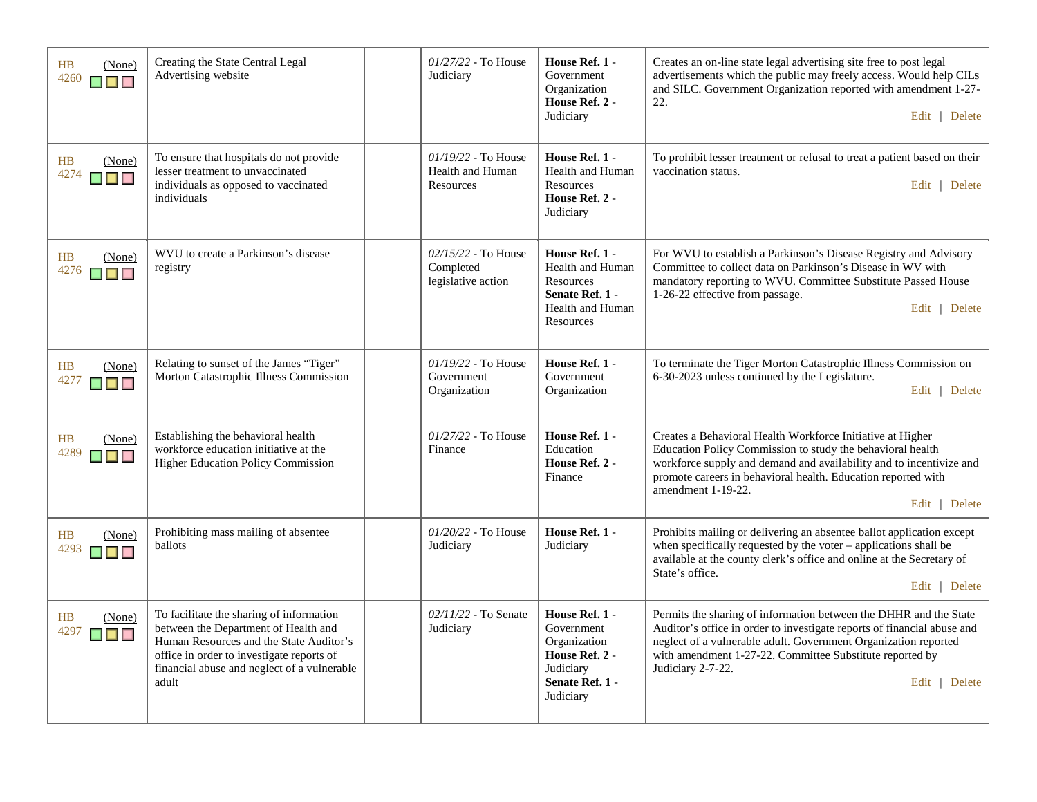| HB<br>(None)<br>4260<br><b>KALE</b>                                                                                            | Creating the State Central Legal<br>Advertising website                                                                                                                                                                          | 01/27/22 - To House<br>Judiciary                         | House Ref. 1 -<br>Government<br>Organization<br>House Ref. 2 -<br>Judiciary                                 | Creates an on-line state legal advertising site free to post legal<br>advertisements which the public may freely access. Would help CILs<br>and SILC. Government Organization reported with amendment 1-27-<br>22.<br>Edit   Delete                                                                               |
|--------------------------------------------------------------------------------------------------------------------------------|----------------------------------------------------------------------------------------------------------------------------------------------------------------------------------------------------------------------------------|----------------------------------------------------------|-------------------------------------------------------------------------------------------------------------|-------------------------------------------------------------------------------------------------------------------------------------------------------------------------------------------------------------------------------------------------------------------------------------------------------------------|
| HB<br>(None)<br>4274<br><b>K K</b> K                                                                                           | To ensure that hospitals do not provide<br>lesser treatment to unvaccinated<br>individuals as opposed to vaccinated<br>individuals                                                                                               | $01/19/22$ - To House<br>Health and Human<br>Resources   | House Ref. 1 -<br>Health and Human<br>Resources<br>House Ref. 2 -<br>Judiciary                              | To prohibit lesser treatment or refusal to treat a patient based on their<br>vaccination status.<br>Edit   Delete                                                                                                                                                                                                 |
| <b>HB</b><br>(None)<br>4276<br>$\begin{array}{c} \blacksquare \blacksquare \blacksquare \blacksquare \blacksquare \end{array}$ | WVU to create a Parkinson's disease<br>registry                                                                                                                                                                                  | $02/15/22$ - To House<br>Completed<br>legislative action | House Ref. 1 -<br>Health and Human<br>Resources<br>Senate Ref. 1 -<br>Health and Human<br>Resources         | For WVU to establish a Parkinson's Disease Registry and Advisory<br>Committee to collect data on Parkinson's Disease in WV with<br>mandatory reporting to WVU. Committee Substitute Passed House<br>1-26-22 effective from passage.<br>Edit   Delete                                                              |
| HB<br>(None)<br>4277<br>$\blacksquare$                                                                                         | Relating to sunset of the James "Tiger"<br>Morton Catastrophic Illness Commission                                                                                                                                                | 01/19/22 - To House<br>Government<br>Organization        | House Ref. 1 -<br>Government<br>Organization                                                                | To terminate the Tiger Morton Catastrophic Illness Commission on<br>6-30-2023 unless continued by the Legislature.<br>Edit   Delete                                                                                                                                                                               |
| HB<br>(None)<br>4289<br>▉▊▊                                                                                                    | Establishing the behavioral health<br>workforce education initiative at the<br>Higher Education Policy Commission                                                                                                                | $01/27/22$ - To House<br>Finance                         | House Ref. 1 -<br>Education<br>House Ref. 2 -<br>Finance                                                    | Creates a Behavioral Health Workforce Initiative at Higher<br>Education Policy Commission to study the behavioral health<br>workforce supply and demand and availability and to incentivize and<br>promote careers in behavioral health. Education reported with<br>amendment 1-19-22.<br>Edit   Delete           |
| HB<br>(None)<br>4293<br>▉▉▉                                                                                                    | Prohibiting mass mailing of absentee<br>ballots                                                                                                                                                                                  | 01/20/22 - To House<br>Judiciary                         | House Ref. 1 -<br>Judiciary                                                                                 | Prohibits mailing or delivering an absentee ballot application except<br>when specifically requested by the voter - applications shall be<br>available at the county clerk's office and online at the Secretary of<br>State's office.<br>Edit   Delete                                                            |
| HB<br>(None)<br>4297<br>$\blacksquare$                                                                                         | To facilitate the sharing of information<br>between the Department of Health and<br>Human Resources and the State Auditor's<br>office in order to investigate reports of<br>financial abuse and neglect of a vulnerable<br>adult | $02/11/22$ - To Senate<br>Judiciary                      | House Ref. 1 -<br>Government<br>Organization<br>House Ref. 2 -<br>Judiciary<br>Senate Ref. 1 -<br>Judiciary | Permits the sharing of information between the DHHR and the State<br>Auditor's office in order to investigate reports of financial abuse and<br>neglect of a vulnerable adult. Government Organization reported<br>with amendment 1-27-22. Committee Substitute reported by<br>Judiciary 2-7-22.<br>Edit   Delete |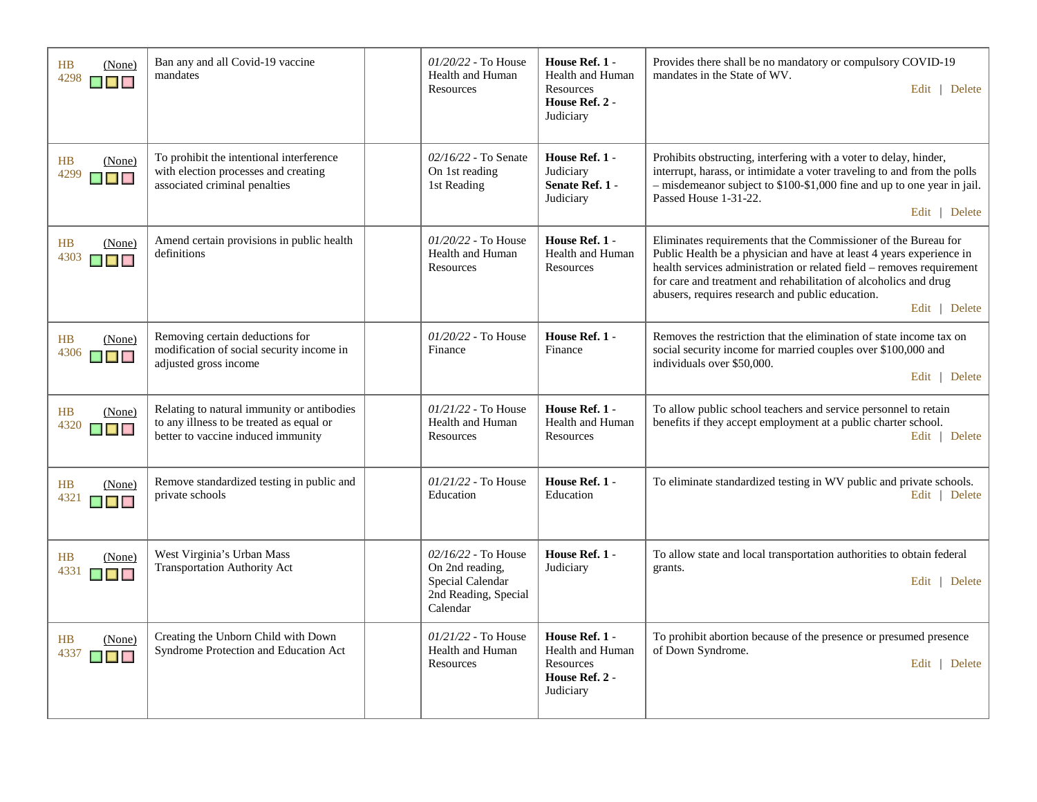| HB<br>(None)<br>4298<br>$\blacksquare$                     | Ban any and all Covid-19 vaccine<br>mandates                                                                                 | $01/20/22$ - To House<br>Health and Human<br>Resources                                           | House Ref. 1 -<br>Health and Human<br>Resources<br>House Ref. 2 -<br>Judiciary | Provides there shall be no mandatory or compulsory COVID-19<br>mandates in the State of WV.<br>Edit   Delete                                                                                                                                                                                                                                              |
|------------------------------------------------------------|------------------------------------------------------------------------------------------------------------------------------|--------------------------------------------------------------------------------------------------|--------------------------------------------------------------------------------|-----------------------------------------------------------------------------------------------------------------------------------------------------------------------------------------------------------------------------------------------------------------------------------------------------------------------------------------------------------|
| HB<br>(None)<br>4299<br>$\blacksquare$                     | To prohibit the intentional interference<br>with election processes and creating<br>associated criminal penalties            | 02/16/22 - To Senate<br>On 1st reading<br>1st Reading                                            | House Ref. 1 -<br>Judiciary<br>Senate Ref. 1 -<br>Judiciary                    | Prohibits obstructing, interfering with a voter to delay, hinder,<br>interrupt, harass, or intimidate a voter traveling to and from the polls<br>- misdemeanor subject to \$100-\$1,000 fine and up to one year in jail.<br>Passed House 1-31-22.<br>Edit   Delete                                                                                        |
| HB<br>(None)<br>4303<br>$\mathcal{L}$<br>$\blacksquare$    | Amend certain provisions in public health<br>definitions                                                                     | $01/20/22$ - To House<br>Health and Human<br>Resources                                           | House Ref. 1 -<br>Health and Human<br>Resources                                | Eliminates requirements that the Commissioner of the Bureau for<br>Public Health be a physician and have at least 4 years experience in<br>health services administration or related field - removes requirement<br>for care and treatment and rehabilitation of alcoholics and drug<br>abusers, requires research and public education.<br>Edit   Delete |
| HB<br>(None)<br>4306<br>▉▉▉                                | Removing certain deductions for<br>modification of social security income in<br>adjusted gross income                        | $01/20/22$ - To House<br>Finance                                                                 | House Ref. 1 -<br>Finance                                                      | Removes the restriction that the elimination of state income tax on<br>social security income for married couples over \$100,000 and<br>individuals over \$50,000.<br>Edit   Delete                                                                                                                                                                       |
| HB<br>(None)<br>4320<br>$\blacksquare$                     | Relating to natural immunity or antibodies<br>to any illness to be treated as equal or<br>better to vaccine induced immunity | 01/21/22 - To House<br>Health and Human<br>Resources                                             | House Ref. 1 -<br>Health and Human<br>Resources                                | To allow public school teachers and service personnel to retain<br>benefits if they accept employment at a public charter school.<br>Edit   Delete                                                                                                                                                                                                        |
| HB<br>(None)<br>4321<br><b>The State</b><br>$\blacksquare$ | Remove standardized testing in public and<br>private schools                                                                 | $01/21/22$ - To House<br>Education                                                               | House Ref. 1 -<br>Education                                                    | To eliminate standardized testing in WV public and private schools.<br>Edit   Delete                                                                                                                                                                                                                                                                      |
| HB<br>(None)<br>4331<br>▉▉▉                                | West Virginia's Urban Mass<br><b>Transportation Authority Act</b>                                                            | $02/16/22$ - To House<br>On 2nd reading,<br>Special Calendar<br>2nd Reading, Special<br>Calendar | House Ref. 1 -<br>Judiciary                                                    | To allow state and local transportation authorities to obtain federal<br>grants.<br>Edit   Delete                                                                                                                                                                                                                                                         |
| HB<br>(None)<br>4337<br><b>T</b><br>$\blacksquare$         | Creating the Unborn Child with Down<br>Syndrome Protection and Education Act                                                 | $01/21/22$ - To House<br>Health and Human<br>Resources                                           | House Ref. 1 -<br>Health and Human<br>Resources<br>House Ref. 2 -<br>Judiciary | To prohibit abortion because of the presence or presumed presence<br>of Down Syndrome.<br>Edit   Delete                                                                                                                                                                                                                                                   |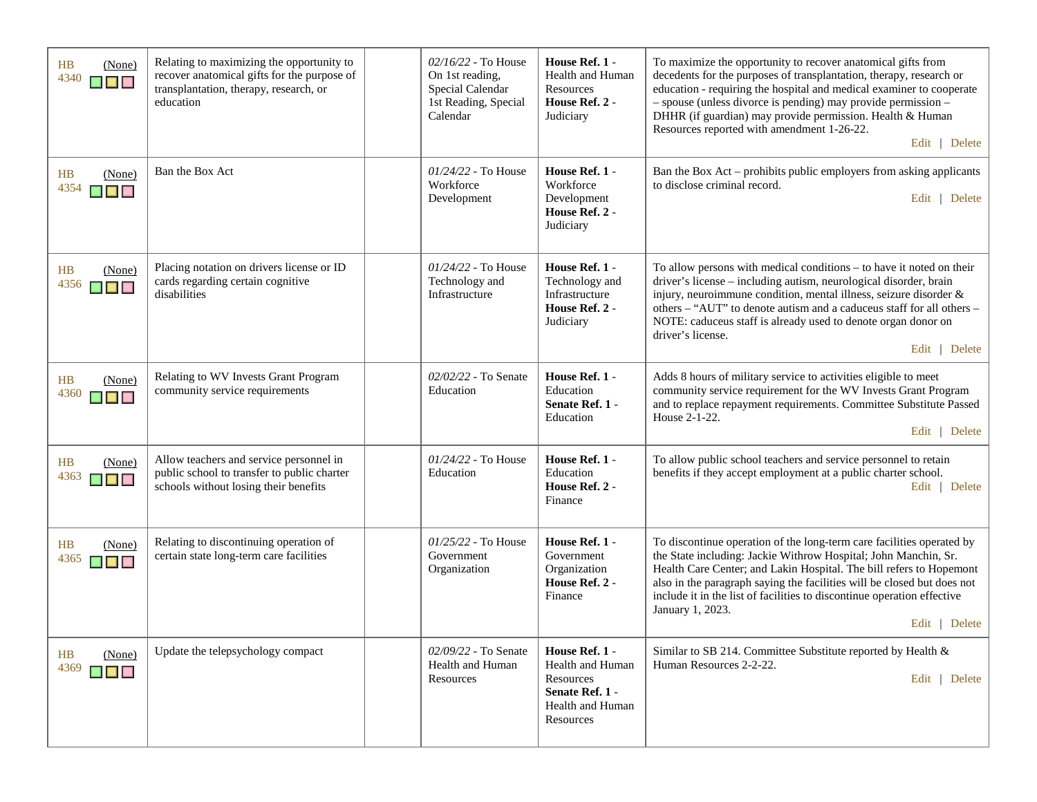| (None)<br>HB<br>4340<br>$\blacksquare$ $\blacksquare$                | Relating to maximizing the opportunity to<br>recover anatomical gifts for the purpose of<br>transplantation, therapy, research, or<br>education | $02/16/22$ - To House<br>On 1st reading,<br>Special Calendar<br>1st Reading, Special<br>Calendar | House Ref. 1 -<br><b>Health and Human</b><br>Resources<br>House Ref. 2 -<br>Judiciary               | To maximize the opportunity to recover anatomical gifts from<br>decedents for the purposes of transplantation, therapy, research or<br>education - requiring the hospital and medical examiner to cooperate<br>- spouse (unless divorce is pending) may provide permission -<br>DHHR (if guardian) may provide permission. Health & Human<br>Resources reported with amendment 1-26-22.<br>Edit   Delete   |
|----------------------------------------------------------------------|-------------------------------------------------------------------------------------------------------------------------------------------------|--------------------------------------------------------------------------------------------------|-----------------------------------------------------------------------------------------------------|------------------------------------------------------------------------------------------------------------------------------------------------------------------------------------------------------------------------------------------------------------------------------------------------------------------------------------------------------------------------------------------------------------|
| HB<br>(None)<br>4354<br>$\blacksquare$ $\blacksquare$                | Ban the Box Act                                                                                                                                 | 01/24/22 - To House<br>Workforce<br>Development                                                  | House Ref. 1 -<br>Workforce<br>Development<br>House Ref. 2 -<br>Judiciary                           | Ban the Box Act - prohibits public employers from asking applicants<br>to disclose criminal record.<br>Edit   Delete                                                                                                                                                                                                                                                                                       |
| HB<br>(None)<br>4356<br>▉▉                                           | Placing notation on drivers license or ID<br>cards regarding certain cognitive<br>disabilities                                                  | $01/24/22$ - To House<br>Technology and<br>Infrastructure                                        | House Ref. 1 -<br>Technology and<br>Infrastructure<br>House Ref. 2 -<br>Judiciary                   | To allow persons with medical conditions – to have it noted on their<br>driver's license - including autism, neurological disorder, brain<br>injury, neuroimmune condition, mental illness, seizure disorder &<br>others - "AUT" to denote autism and a caduceus staff for all others -<br>NOTE: caduceus staff is already used to denote organ donor on<br>driver's license.<br>Edit   Delete             |
| HB<br>(None)<br>4360<br>$\blacksquare$                               | Relating to WV Invests Grant Program<br>community service requirements                                                                          | 02/02/22 - To Senate<br>Education                                                                | House Ref. 1 -<br>Education<br>Senate Ref. 1 -<br>Education                                         | Adds 8 hours of military service to activities eligible to meet<br>community service requirement for the WV Invests Grant Program<br>and to replace repayment requirements. Committee Substitute Passed<br>House 2-1-22.<br>Edit   Delete                                                                                                                                                                  |
| (None)<br>HB<br>4363<br>$\blacksquare$                               | Allow teachers and service personnel in<br>public school to transfer to public charter<br>schools without losing their benefits                 | 01/24/22 - To House<br>Education                                                                 | House Ref. 1 -<br>Education<br>House Ref. 2 -<br>Finance                                            | To allow public school teachers and service personnel to retain<br>benefits if they accept employment at a public charter school.<br>Edit   Delete                                                                                                                                                                                                                                                         |
| HB<br>(None)<br>4365<br>$\blacksquare$ $\blacksquare$ $\blacksquare$ | Relating to discontinuing operation of<br>certain state long-term care facilities                                                               | 01/25/22 - To House<br>Government<br>Organization                                                | House Ref. 1 -<br>Government<br>Organization<br>House Ref. 2 -<br>Finance                           | To discontinue operation of the long-term care facilities operated by<br>the State including: Jackie Withrow Hospital; John Manchin, Sr.<br>Health Care Center; and Lakin Hospital. The bill refers to Hopemont<br>also in the paragraph saying the facilities will be closed but does not<br>include it in the list of facilities to discontinue operation effective<br>January 1, 2023.<br>Edit   Delete |
| HB<br>(None)<br>4369<br>$\blacksquare$                               | Update the telepsychology compact                                                                                                               | 02/09/22 - To Senate<br>Health and Human<br>Resources                                            | House Ref. 1 -<br>Health and Human<br>Resources<br>Senate Ref. 1 -<br>Health and Human<br>Resources | Similar to SB 214. Committee Substitute reported by Health &<br>Human Resources 2-2-22.<br>Edit   Delete                                                                                                                                                                                                                                                                                                   |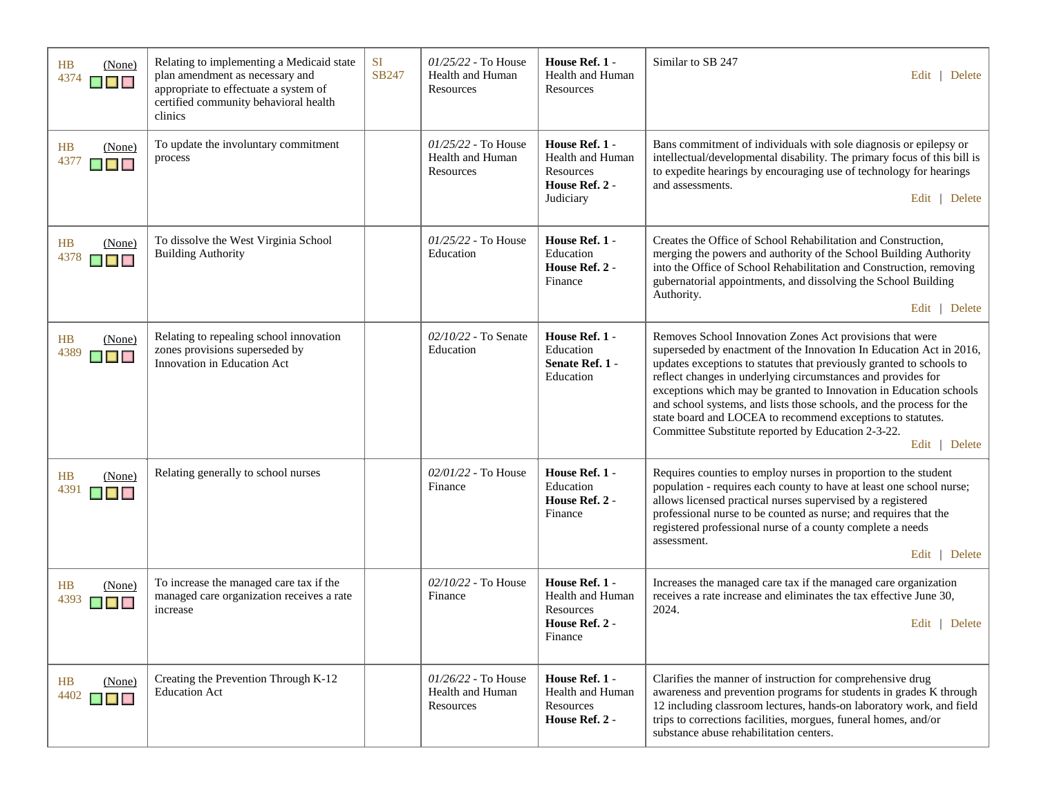| HB<br>(None)<br>4374<br>▉▉▉                                          | Relating to implementing a Medicaid state<br>plan amendment as necessary and<br>appropriate to effectuate a system of<br>certified community behavioral health<br>clinics | <b>SI</b><br>SB247 | $01/25/22$ - To House<br>Health and Human<br>Resources | House Ref. 1 -<br>Health and Human<br>Resources                                | Similar to SB 247<br>Edit   Delete                                                                                                                                                                                                                                                                                                                                                                                                                                                                                                                         |
|----------------------------------------------------------------------|---------------------------------------------------------------------------------------------------------------------------------------------------------------------------|--------------------|--------------------------------------------------------|--------------------------------------------------------------------------------|------------------------------------------------------------------------------------------------------------------------------------------------------------------------------------------------------------------------------------------------------------------------------------------------------------------------------------------------------------------------------------------------------------------------------------------------------------------------------------------------------------------------------------------------------------|
| HB<br>(None)<br>4377<br><b>K</b> E                                   | To update the involuntary commitment<br>process                                                                                                                           |                    | 01/25/22 - To House<br>Health and Human<br>Resources   | House Ref. 1 -<br>Health and Human<br>Resources<br>House Ref. 2 -<br>Judiciary | Bans commitment of individuals with sole diagnosis or epilepsy or<br>intellectual/developmental disability. The primary focus of this bill is<br>to expedite hearings by encouraging use of technology for hearings<br>and assessments.<br>Edit   Delete                                                                                                                                                                                                                                                                                                   |
| HB<br>(None)<br>4378<br>$\blacksquare$ $\blacksquare$ $\blacksquare$ | To dissolve the West Virginia School<br><b>Building Authority</b>                                                                                                         |                    | $01/25/22$ - To House<br>Education                     | House Ref. 1 -<br>Education<br>House Ref. 2 -<br>Finance                       | Creates the Office of School Rehabilitation and Construction,<br>merging the powers and authority of the School Building Authority<br>into the Office of School Rehabilitation and Construction, removing<br>gubernatorial appointments, and dissolving the School Building<br>Authority.<br>Edit   Delete                                                                                                                                                                                                                                                 |
| HB<br>(None)<br>4389<br>$\blacksquare$                               | Relating to repealing school innovation<br>zones provisions superseded by<br>Innovation in Education Act                                                                  |                    | 02/10/22 - To Senate<br>Education                      | House Ref. 1 -<br>Education<br>Senate Ref. 1 -<br>Education                    | Removes School Innovation Zones Act provisions that were<br>superseded by enactment of the Innovation In Education Act in 2016,<br>updates exceptions to statutes that previously granted to schools to<br>reflect changes in underlying circumstances and provides for<br>exceptions which may be granted to Innovation in Education schools<br>and school systems, and lists those schools, and the process for the<br>state board and LOCEA to recommend exceptions to statutes.<br>Committee Substitute reported by Education 2-3-22.<br>Edit   Delete |
| HB<br>(None)<br>4391<br>$\blacksquare$ $\blacksquare$ $\blacksquare$ | Relating generally to school nurses                                                                                                                                       |                    | 02/01/22 - To House<br>Finance                         | House Ref. 1 -<br>Education<br>House Ref. 2 -<br>Finance                       | Requires counties to employ nurses in proportion to the student<br>population - requires each county to have at least one school nurse;<br>allows licensed practical nurses supervised by a registered<br>professional nurse to be counted as nurse; and requires that the<br>registered professional nurse of a county complete a needs<br>assessment.<br>Edit   Delete                                                                                                                                                                                   |
| HB<br>(None)<br>4393<br>▉▉▉                                          | To increase the managed care tax if the<br>managed care organization receives a rate<br>increase                                                                          |                    | 02/10/22 - To House<br>Finance                         | House Ref. 1 -<br>Health and Human<br>Resources<br>House Ref. 2 -<br>Finance   | Increases the managed care tax if the managed care organization<br>receives a rate increase and eliminates the tax effective June 30,<br>2024.<br>Edit   Delete                                                                                                                                                                                                                                                                                                                                                                                            |
| HB<br>(None)<br>4402<br>$\blacksquare$                               | Creating the Prevention Through K-12<br><b>Education Act</b>                                                                                                              |                    | 01/26/22 - To House<br>Health and Human<br>Resources   | House Ref. 1 -<br>Health and Human<br>Resources<br>House Ref. 2 -              | Clarifies the manner of instruction for comprehensive drug<br>awareness and prevention programs for students in grades K through<br>12 including classroom lectures, hands-on laboratory work, and field<br>trips to corrections facilities, morgues, funeral homes, and/or<br>substance abuse rehabilitation centers.                                                                                                                                                                                                                                     |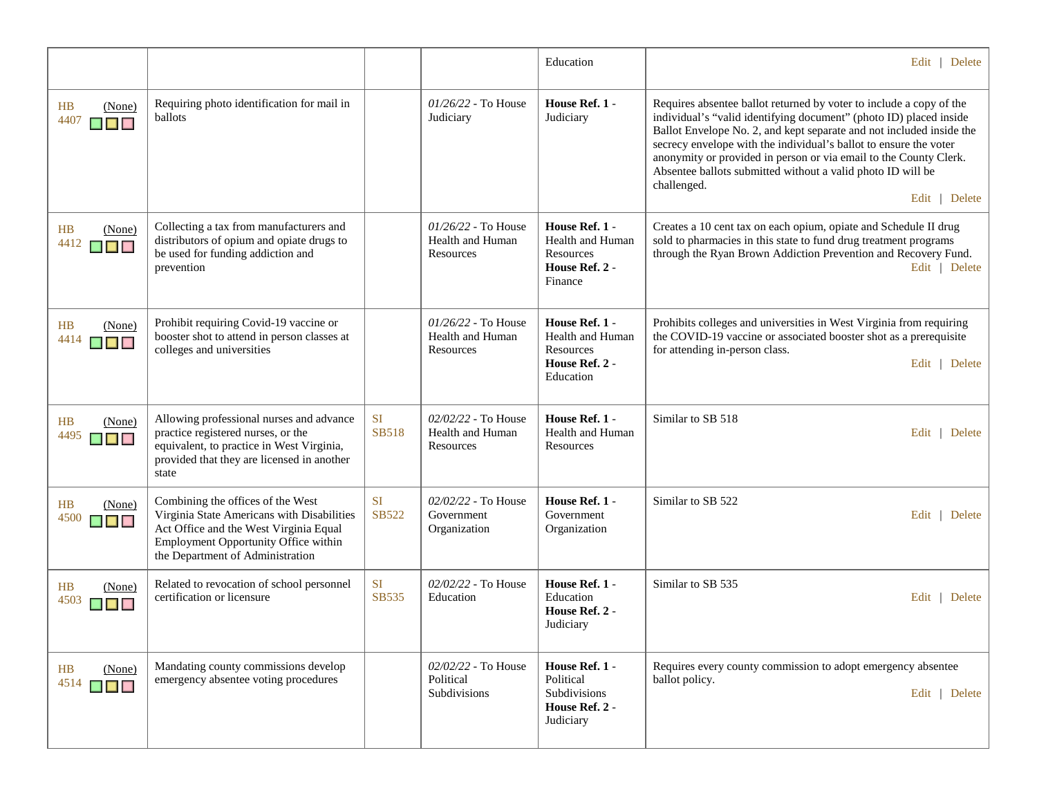|                                                                      |                                                                                                                                                                                                       |                           |                                                        | Education                                                                      | Edit   Delete                                                                                                                                                                                                                                                                                                                                                                                                                                              |
|----------------------------------------------------------------------|-------------------------------------------------------------------------------------------------------------------------------------------------------------------------------------------------------|---------------------------|--------------------------------------------------------|--------------------------------------------------------------------------------|------------------------------------------------------------------------------------------------------------------------------------------------------------------------------------------------------------------------------------------------------------------------------------------------------------------------------------------------------------------------------------------------------------------------------------------------------------|
| HB<br>(None)<br>4407<br>$\blacksquare$ $\blacksquare$ $\blacksquare$ | Requiring photo identification for mail in<br>ballots                                                                                                                                                 |                           | $01/26/22$ - To House<br>Judiciary                     | House Ref. 1 -<br>Judiciary                                                    | Requires absentee ballot returned by voter to include a copy of the<br>individual's "valid identifying document" (photo ID) placed inside<br>Ballot Envelope No. 2, and kept separate and not included inside the<br>secrecy envelope with the individual's ballot to ensure the voter<br>anonymity or provided in person or via email to the County Clerk.<br>Absentee ballots submitted without a valid photo ID will be<br>challenged.<br>Edit   Delete |
| HB<br>(None)<br>4412<br>▉▉▉                                          | Collecting a tax from manufacturers and<br>distributors of opium and opiate drugs to<br>be used for funding addiction and<br>prevention                                                               |                           | $01/26/22$ - To House<br>Health and Human<br>Resources | House Ref. 1 -<br>Health and Human<br>Resources<br>House Ref. 2 -<br>Finance   | Creates a 10 cent tax on each opium, opiate and Schedule II drug<br>sold to pharmacies in this state to fund drug treatment programs<br>through the Ryan Brown Addiction Prevention and Recovery Fund.<br>Edit   Delete                                                                                                                                                                                                                                    |
| HB<br>(None)<br>4414<br>$\blacksquare$ $\blacksquare$                | Prohibit requiring Covid-19 vaccine or<br>booster shot to attend in person classes at<br>colleges and universities                                                                                    |                           | $01/26/22$ - To House<br>Health and Human<br>Resources | House Ref. 1 -<br>Health and Human<br>Resources<br>House Ref. 2 -<br>Education | Prohibits colleges and universities in West Virginia from requiring<br>the COVID-19 vaccine or associated booster shot as a prerequisite<br>for attending in-person class.<br>Edit   Delete                                                                                                                                                                                                                                                                |
| HB<br>(None)<br>4495<br>$\blacksquare$ $\blacksquare$ $\blacksquare$ | Allowing professional nurses and advance<br>practice registered nurses, or the<br>equivalent, to practice in West Virginia,<br>provided that they are licensed in another<br>state                    | <b>SI</b><br><b>SB518</b> | 02/02/22 - To House<br>Health and Human<br>Resources   | House Ref. 1 -<br>Health and Human<br>Resources                                | Similar to SB 518<br>Edit   Delete                                                                                                                                                                                                                                                                                                                                                                                                                         |
| HB<br>(None)<br>4500<br>$\blacksquare$ $\blacksquare$                | Combining the offices of the West<br>Virginia State Americans with Disabilities<br>Act Office and the West Virginia Equal<br>Employment Opportunity Office within<br>the Department of Administration | <b>SI</b><br>SB522        | 02/02/22 - To House<br>Government<br>Organization      | House Ref. 1 -<br>Government<br>Organization                                   | Similar to SB 522<br>Edit   Delete                                                                                                                                                                                                                                                                                                                                                                                                                         |
| HB<br>(None)<br>4503                                                 | Related to revocation of school personnel<br>certification or licensure                                                                                                                               | <b>SI</b><br><b>SB535</b> | 02/02/22 - To House<br>Education                       | House Ref. 1 -<br>Education<br>House Ref. 2 -<br>Judiciary                     | Similar to SB 535<br>Edit   Delete                                                                                                                                                                                                                                                                                                                                                                                                                         |
| H B<br>(None)<br>4514<br>▉▊▊                                         | Mandating county commissions develop<br>emergency absentee voting procedures                                                                                                                          |                           | 02/02/22 - To House<br>Political<br>Subdivisions       | House Ref. 1 -<br>Political<br>Subdivisions<br>House Ref. 2 -<br>Judiciary     | Requires every county commission to adopt emergency absentee<br>ballot policy.<br>Edit   Delete                                                                                                                                                                                                                                                                                                                                                            |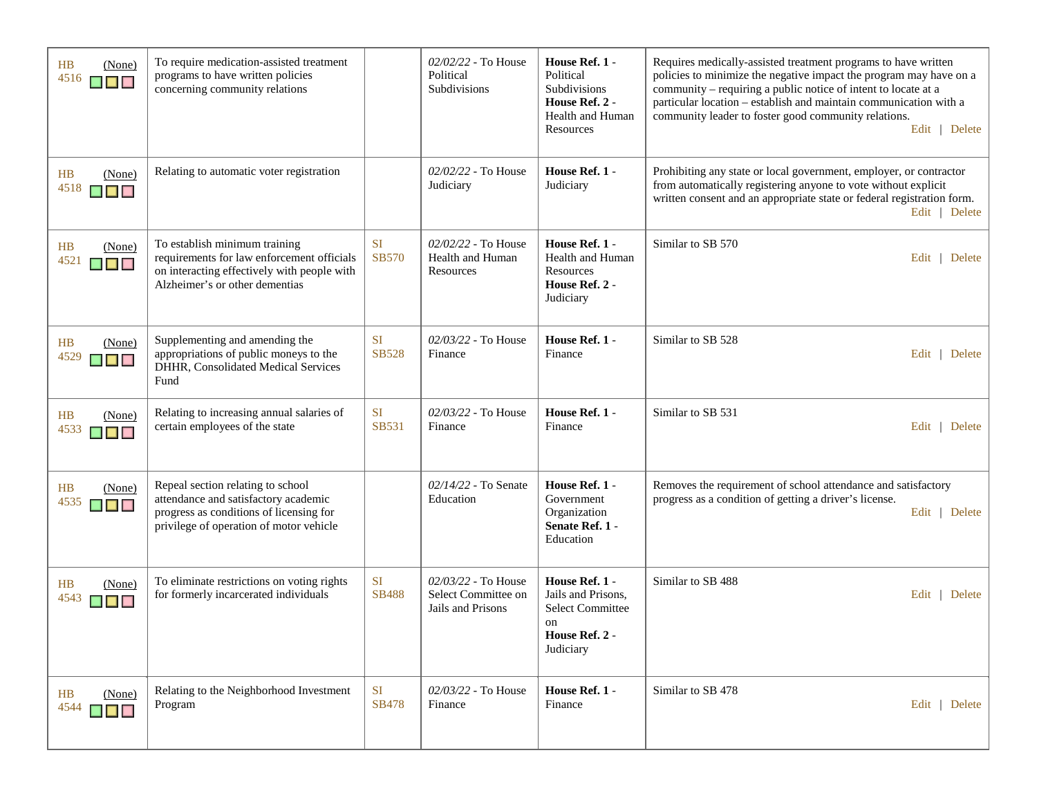| HB<br>(None)<br>4516<br>$\blacksquare$ $\blacksquare$ $\blacksquare$ | To require medication-assisted treatment<br>programs to have written policies<br>concerning community relations                                                 |                           | 02/02/22 - To House<br>Political<br>Subdivisions                | House Ref. 1 -<br>Political<br>Subdivisions<br>House Ref. 2 -<br>Health and Human<br>Resources       | Requires medically-assisted treatment programs to have written<br>policies to minimize the negative impact the program may have on a<br>community – requiring a public notice of intent to locate at a<br>particular location - establish and maintain communication with a<br>community leader to foster good community relations.<br>Edit   Delete |
|----------------------------------------------------------------------|-----------------------------------------------------------------------------------------------------------------------------------------------------------------|---------------------------|-----------------------------------------------------------------|------------------------------------------------------------------------------------------------------|------------------------------------------------------------------------------------------------------------------------------------------------------------------------------------------------------------------------------------------------------------------------------------------------------------------------------------------------------|
| HB<br>(None)<br>4518<br>$\blacksquare$                               | Relating to automatic voter registration                                                                                                                        |                           | 02/02/22 - To House<br>Judiciary                                | House Ref. 1 -<br>Judiciary                                                                          | Prohibiting any state or local government, employer, or contractor<br>from automatically registering anyone to vote without explicit<br>written consent and an appropriate state or federal registration form.<br>Edit   Delete                                                                                                                      |
| HB<br>(None)<br>4521<br>$\blacksquare$                               | To establish minimum training<br>requirements for law enforcement officials<br>on interacting effectively with people with<br>Alzheimer's or other dementias    | <b>SI</b><br><b>SB570</b> | 02/02/22 - To House<br>Health and Human<br>Resources            | House Ref. 1 -<br><b>Health and Human</b><br>Resources<br>House Ref. 2 -<br>Judiciary                | Similar to SB 570<br>Edit   Delete                                                                                                                                                                                                                                                                                                                   |
| HB<br>(None)<br>4529<br>$\blacksquare$                               | Supplementing and amending the<br>appropriations of public moneys to the<br>DHHR, Consolidated Medical Services<br>Fund                                         | <b>SI</b><br><b>SB528</b> | 02/03/22 - To House<br>Finance                                  | House Ref. 1 -<br>Finance                                                                            | Similar to SB 528<br>Edit   Delete                                                                                                                                                                                                                                                                                                                   |
| HB<br>(None)<br>4533<br>$\blacksquare$ $\blacksquare$ $\blacksquare$ | Relating to increasing annual salaries of<br>certain employees of the state                                                                                     | <b>SI</b><br><b>SB531</b> | $02/03/22$ - To House<br>Finance                                | House Ref. 1 -<br>Finance                                                                            | Similar to SB 531<br>Edit $\vert$<br>Delete                                                                                                                                                                                                                                                                                                          |
| HB<br>(None)<br>4535<br>$\blacksquare$                               | Repeal section relating to school<br>attendance and satisfactory academic<br>progress as conditions of licensing for<br>privilege of operation of motor vehicle |                           | 02/14/22 - To Senate<br>Education                               | House Ref. 1 -<br>Government<br>Organization<br>Senate Ref. 1 -<br>Education                         | Removes the requirement of school attendance and satisfactory<br>progress as a condition of getting a driver's license.<br>Edit   Delete                                                                                                                                                                                                             |
| HB<br>(None)<br>4543<br>$\blacksquare$                               | To eliminate restrictions on voting rights<br>for formerly incarcerated individuals                                                                             | SI<br><b>SB488</b>        | 02/03/22 - To House<br>Select Committee on<br>Jails and Prisons | House Ref. 1 -<br>Jails and Prisons,<br><b>Select Committee</b><br>on<br>House Ref. 2 -<br>Judiciary | Similar to SB 488<br>Edit   Delete                                                                                                                                                                                                                                                                                                                   |
| HB<br>(None)<br>4544<br>$\blacksquare$ $\blacksquare$                | Relating to the Neighborhood Investment<br>Program                                                                                                              | <b>SI</b><br><b>SB478</b> | 02/03/22 - To House<br>Finance                                  | House Ref. 1 -<br>Finance                                                                            | Similar to SB 478<br>Edit   Delete                                                                                                                                                                                                                                                                                                                   |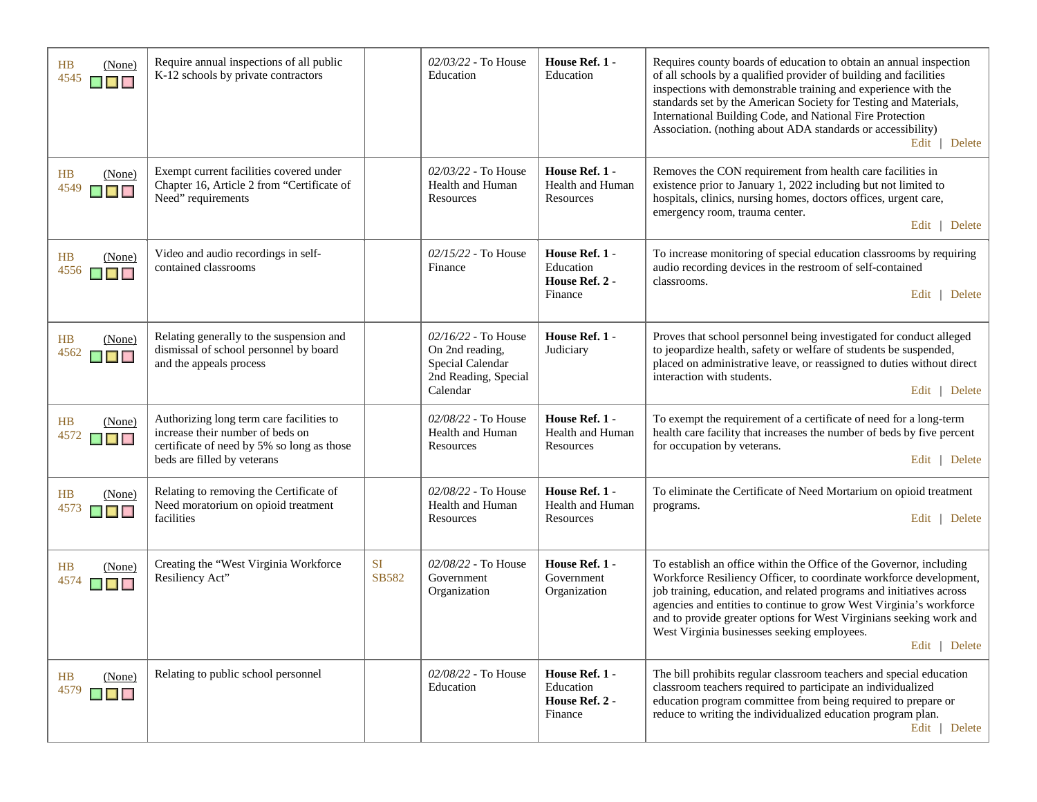| HB<br>(None)<br>4545<br>$\blacksquare$                | Require annual inspections of all public<br>K-12 schools by private contractors                                                                           |                    | 02/03/22 - To House<br>Education                                                                 | House Ref. 1 -<br>Education                              | Requires county boards of education to obtain an annual inspection<br>of all schools by a qualified provider of building and facilities<br>inspections with demonstrable training and experience with the<br>standards set by the American Society for Testing and Materials,<br>International Building Code, and National Fire Protection<br>Association. (nothing about ADA standards or accessibility)<br>Edit   Delete      |
|-------------------------------------------------------|-----------------------------------------------------------------------------------------------------------------------------------------------------------|--------------------|--------------------------------------------------------------------------------------------------|----------------------------------------------------------|---------------------------------------------------------------------------------------------------------------------------------------------------------------------------------------------------------------------------------------------------------------------------------------------------------------------------------------------------------------------------------------------------------------------------------|
| HB<br>(None)<br>4549<br>$\blacksquare$                | Exempt current facilities covered under<br>Chapter 16, Article 2 from "Certificate of<br>Need" requirements                                               |                    | 02/03/22 - To House<br>Health and Human<br>Resources                                             | House Ref. 1 -<br>Health and Human<br>Resources          | Removes the CON requirement from health care facilities in<br>existence prior to January 1, 2022 including but not limited to<br>hospitals, clinics, nursing homes, doctors offices, urgent care,<br>emergency room, trauma center.<br>Edit   Delete                                                                                                                                                                            |
| HB<br>(None)<br>4556<br>$\blacksquare$ $\blacksquare$ | Video and audio recordings in self-<br>contained classrooms                                                                                               |                    | 02/15/22 - To House<br>Finance                                                                   | House Ref. 1 -<br>Education<br>House Ref. 2 -<br>Finance | To increase monitoring of special education classrooms by requiring<br>audio recording devices in the restroom of self-contained<br>classrooms.<br>Edit   Delete                                                                                                                                                                                                                                                                |
| <b>HB</b><br>(None)<br>4562<br>▉▉▉                    | Relating generally to the suspension and<br>dismissal of school personnel by board<br>and the appeals process                                             |                    | $02/16/22$ - To House<br>On 2nd reading,<br>Special Calendar<br>2nd Reading, Special<br>Calendar | House Ref. 1 -<br>Judiciary                              | Proves that school personnel being investigated for conduct alleged<br>to jeopardize health, safety or welfare of students be suspended,<br>placed on administrative leave, or reassigned to duties without direct<br>interaction with students.<br>Edit   Delete                                                                                                                                                               |
| HB<br>(None)<br>4572<br>$\blacksquare$ $\blacksquare$ | Authorizing long term care facilities to<br>increase their number of beds on<br>certificate of need by 5% so long as those<br>beds are filled by veterans |                    | 02/08/22 - To House<br>Health and Human<br>Resources                                             | House Ref. 1 -<br>Health and Human<br>Resources          | To exempt the requirement of a certificate of need for a long-term<br>health care facility that increases the number of beds by five percent<br>for occupation by veterans.<br>Edit   Delete                                                                                                                                                                                                                                    |
| HB<br>(None)<br>4573<br>$\blacksquare$                | Relating to removing the Certificate of<br>Need moratorium on opioid treatment<br>facilities                                                              |                    | 02/08/22 - To House<br>Health and Human<br>Resources                                             | House Ref. 1 -<br>Health and Human<br>Resources          | To eliminate the Certificate of Need Mortarium on opioid treatment<br>programs.<br>Edit   Delete                                                                                                                                                                                                                                                                                                                                |
| HB<br>(None)<br>4574<br>▉▉                            | Creating the "West Virginia Workforce<br>Resiliency Act"                                                                                                  | <b>SI</b><br>SB582 | 02/08/22 - To House<br>Government<br>Organization                                                | House Ref. 1 -<br>Government<br>Organization             | To establish an office within the Office of the Governor, including<br>Workforce Resiliency Officer, to coordinate workforce development,<br>job training, education, and related programs and initiatives across<br>agencies and entities to continue to grow West Virginia's workforce<br>and to provide greater options for West Virginians seeking work and<br>West Virginia businesses seeking employees.<br>Edit   Delete |
| HB<br>(None)<br>4579<br>$\blacksquare$ $\blacksquare$ | Relating to public school personnel                                                                                                                       |                    | 02/08/22 - To House<br>Education                                                                 | House Ref. 1 -<br>Education<br>House Ref. 2 -<br>Finance | The bill prohibits regular classroom teachers and special education<br>classroom teachers required to participate an individualized<br>education program committee from being required to prepare or<br>reduce to writing the individualized education program plan.<br>Edit   Delete                                                                                                                                           |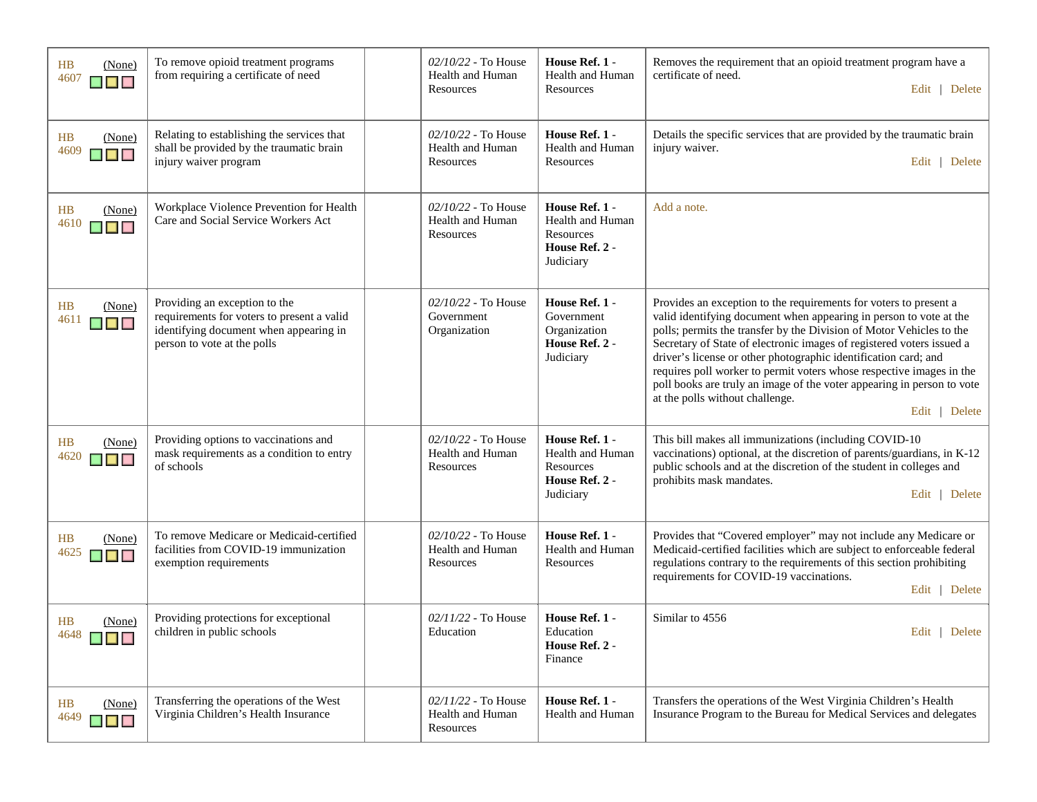| <b>HB</b><br>(None)<br>4607<br>▉▉▉     | To remove opioid treatment programs<br>from requiring a certificate of need                                                                          | 02/10/22 - To House<br>Health and Human<br>Resources   | House Ref. 1 -<br><b>Health and Human</b><br>Resources                         | Removes the requirement that an opioid treatment program have a<br>certificate of need.<br>Edit   Delete                                                                                                                                                                                                                                                                                                                                                                                                                                                          |
|----------------------------------------|------------------------------------------------------------------------------------------------------------------------------------------------------|--------------------------------------------------------|--------------------------------------------------------------------------------|-------------------------------------------------------------------------------------------------------------------------------------------------------------------------------------------------------------------------------------------------------------------------------------------------------------------------------------------------------------------------------------------------------------------------------------------------------------------------------------------------------------------------------------------------------------------|
| HB<br>(None)<br>4609<br>$\blacksquare$ | Relating to establishing the services that<br>shall be provided by the traumatic brain<br>injury waiver program                                      | $02/10/22$ - To House<br>Health and Human<br>Resources | House Ref. 1 -<br>Health and Human<br>Resources                                | Details the specific services that are provided by the traumatic brain<br>injury waiver.<br>Edit   Delete                                                                                                                                                                                                                                                                                                                                                                                                                                                         |
| HB<br>(None)<br>4610<br>$\blacksquare$ | Workplace Violence Prevention for Health<br>Care and Social Service Workers Act                                                                      | 02/10/22 - To House<br>Health and Human<br>Resources   | House Ref. 1 -<br>Health and Human<br>Resources<br>House Ref. 2 -<br>Judiciary | Add a note.                                                                                                                                                                                                                                                                                                                                                                                                                                                                                                                                                       |
| HB<br>(None)<br>4611<br>▉▉▉            | Providing an exception to the<br>requirements for voters to present a valid<br>identifying document when appearing in<br>person to vote at the polls | 02/10/22 - To House<br>Government<br>Organization      | House Ref. 1 -<br>Government<br>Organization<br>House Ref. 2 -<br>Judiciary    | Provides an exception to the requirements for voters to present a<br>valid identifying document when appearing in person to vote at the<br>polls; permits the transfer by the Division of Motor Vehicles to the<br>Secretary of State of electronic images of registered voters issued a<br>driver's license or other photographic identification card; and<br>requires poll worker to permit voters whose respective images in the<br>poll books are truly an image of the voter appearing in person to vote<br>at the polls without challenge.<br>Edit   Delete |
| HB<br>(None)<br>4620<br><b>K E K</b>   | Providing options to vaccinations and<br>mask requirements as a condition to entry<br>of schools                                                     | 02/10/22 - To House<br>Health and Human<br>Resources   | House Ref. 1 -<br>Health and Human<br>Resources<br>House Ref. 2 -<br>Judiciary | This bill makes all immunizations (including COVID-10<br>vaccinations) optional, at the discretion of parents/guardians, in K-12<br>public schools and at the discretion of the student in colleges and<br>prohibits mask mandates.<br>Edit   Delete                                                                                                                                                                                                                                                                                                              |
| HB<br>(None)<br>4625<br>$\blacksquare$ | To remove Medicare or Medicaid-certified<br>facilities from COVID-19 immunization<br>exemption requirements                                          | $02/10/22$ - To House<br>Health and Human<br>Resources | House Ref. 1 -<br>Health and Human<br>Resources                                | Provides that "Covered employer" may not include any Medicare or<br>Medicaid-certified facilities which are subject to enforceable federal<br>regulations contrary to the requirements of this section prohibiting<br>requirements for COVID-19 vaccinations.<br>Edit   Delete                                                                                                                                                                                                                                                                                    |
| HB<br>(None)<br>$4648$ $\Box$          | Providing protections for exceptional<br>children in public schools                                                                                  | 02/11/22 - To House<br>Education                       | House Ref. 1 -<br>Education<br>House Ref. 2 -<br>Finance                       | Similar to 4556<br>Edit   Delete                                                                                                                                                                                                                                                                                                                                                                                                                                                                                                                                  |
| HB<br>(None)<br>4649<br>$\blacksquare$ | Transferring the operations of the West<br>Virginia Children's Health Insurance                                                                      | 02/11/22 - To House<br>Health and Human<br>Resources   | House Ref. 1 -<br><b>Health and Human</b>                                      | Transfers the operations of the West Virginia Children's Health<br>Insurance Program to the Bureau for Medical Services and delegates                                                                                                                                                                                                                                                                                                                                                                                                                             |